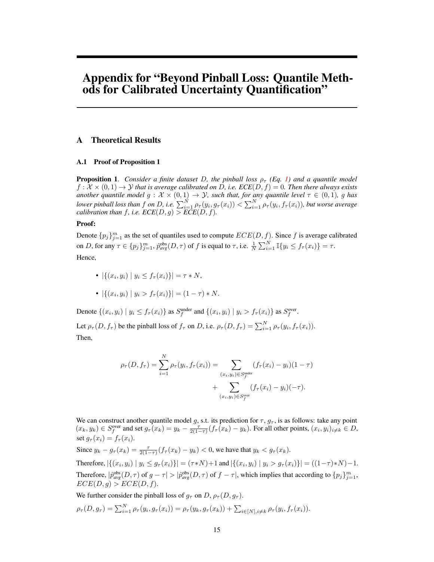# Appendix for "Beyond Pinball Loss: Quantile Methods for Calibrated Uncertainty Quantification"

### A Theoretical Results

#### A.1 Proof of Proposition 1

**Proposition 1.** *Consider a finite dataset D, the pinball loss*  $\rho_{\tau}$  *(Eq. 1) and a quantile model*  $f: \mathcal{X} \times (0, 1) \rightarrow \mathcal{Y}$  *that is average calibrated on D, i.e.*  $ECE(D, f) = 0$ *. Then there always exists another quantile model*  $g: \mathcal{X} \times (0,1) \to \mathcal{Y}$ *, such that, for any quantile level*  $\tau \in (0,1)$ *, g has* lower pinball loss than  $f$  on  $D$ , i.e.  $\sum_{i=1}^N \rho_\tau(y_i,g_\tau(x_i)) < \sum_{i=1}^N \rho_\tau(y_i,f_\tau(x_i))$ , but worse average *calibration than*  $f$ *, i.e.*  $\mathit{ECE}(D, g) > \mathit{ECE}(D, f)$ *.* 

#### Proof:

Denote  $\{p_j\}_{j=1}^m$  as the set of quantiles used to compute  $ECE(D, f)$ . Since f is average calibrated on D, for any  $\tau \in \{p_j\}_{j=1}^m$ ,  $\hat{p}_{avg}^{obs}(D, \tau)$  of f is equal to  $\tau$ , i.e.  $\frac{1}{N} \sum_{i=1}^N \mathbb{I}\{y_i \le f_\tau(x_i)\} = \tau$ . Hence,

- $|\{(x_i, y_i) \mid y_i \leq f_\tau(x_i)\}| = \tau * N,$
- $|\{(x_i, y_i) \mid y_i > f_\tau(x_i)\}| = (1 \tau) * N.$

Denote  $\{(x_i, y_i) \mid y_i \le f_\tau(x_i)\}\$ as  $S_f^{\text{under}}$  and  $\{(x_i, y_i) \mid y_i > f_\tau(x_i)\}\$ as  $S_f^{\text{over}}$ .

Let  $\rho_{\tau}(D, f_{\tau})$  be the pinball loss of  $f_{\tau}$  on D, i.e.  $\rho_{\tau}(D, f_{\tau}) = \sum_{i=1}^{N} \rho_{\tau}(y_i, f_{\tau}(x_i)).$ Then,

$$
\rho_{\tau}(D, f_{\tau}) = \sum_{i=1}^{N} \rho_{\tau}(y_i, f_{\tau}(x_i)) = \sum_{(x_i, y_i) \in S_{f}^{\text{under}}} (f_{\tau}(x_i) - y_i)(1 - \tau) + \sum_{(x_i, y_i) \in S_{f}^{\text{over}}} (f_{\tau}(x_i) - y_i)(-\tau).
$$

We can construct another quantile model g, s.t. its prediction for  $\tau$ ,  $g_{\tau}$ , is as follows: take any point  $(x_k, y_k) \in S_f^{\text{over}}$  and set  $g_{\tau}(x_k) = y_k - \frac{\tau}{2(1-\tau)} (f_{\tau}(x_k) - y_k)$ . For all other points,  $(x_i, y_i)_{i \neq k} \in D$ , set  $g_{\tau}(x_i) = f_{\tau}(x_i)$ .

Since  $y_k - g_\tau(x_k) = \frac{\tau}{2(1-\tau)} (f_\tau(x_k) - y_k) < 0$ , we have that  $y_k < g_\tau(x_k)$ .

Therefore,  $|\{(x_i, y_i) | y_i \le g_\tau(x_i)\}| = (\tau * N) + 1$  and  $|\{(x_i, y_i) | y_i > g_\tau(x_i)\}| = ((1 - \tau) * N) - 1$ . Therefore,  $|\hat{p}^{\text{obs}}_{\text{avg}}(D, \tau)$  of  $g - \tau| > |\hat{p}^{\text{obs}}_{\text{avg}}(D, \tau)$  of  $f - \tau|$ , which implies that according to  $\{p_j\}_{j=1}^m$ ,  $ECE(D, g) > ECE(D, f).$ 

We further consider the pinball loss of  $g_{\tau}$  on D,  $\rho_{\tau}(D, g_{\tau})$ .

$$
\rho_{\tau}(D, g_{\tau}) = \sum_{i=1}^{N} \rho_{\tau}(y_i, g_{\tau}(x_i)) = \rho_{\tau}(y_k, g_{\tau}(x_k)) + \sum_{i \in [N], i \neq k} \rho_{\tau}(y_i, f_{\tau}(x_i)).
$$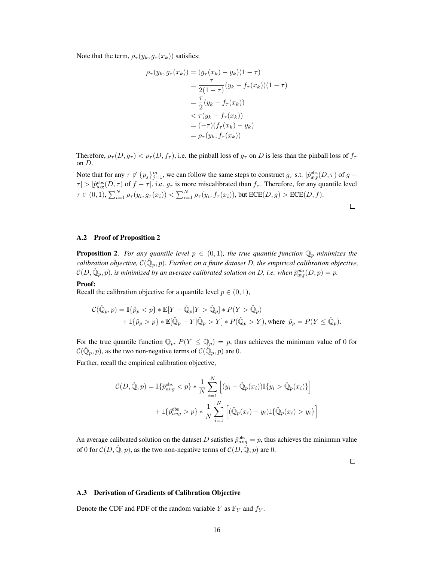Note that the term,  $\rho_{\tau}(y_k, g_{\tau}(x_k))$  satisfies:

$$
\rho_{\tau}(y_k, g_{\tau}(x_k)) = (g_{\tau}(x_k) - y_k)(1 - \tau)
$$
  
= 
$$
\frac{\tau}{2(1 - \tau)} (y_k - f_{\tau}(x_k))(1 - \tau)
$$
  
= 
$$
\frac{\tau}{2} (y_k - f_{\tau}(x_k))
$$
  

$$
< \tau (y_k - f_{\tau}(x_k))
$$
  
= 
$$
(-\tau) (f_{\tau}(x_k) - y_k)
$$
  
= 
$$
\rho_{\tau}(y_k, f_{\tau}(x_k))
$$

Therefore,  $\rho_{\tau}(D, g_{\tau}) < \rho_{\tau}(D, f_{\tau})$ , i.e. the pinball loss of  $g_{\tau}$  on D is less than the pinball loss of  $f_{\tau}$ on D.

Note that for any  $\tau \notin \{p_j\}_{j=1}^m$ , we can follow the same steps to construct  $g_\tau$  s.t.  $|\hat{p}_{avg}^{obs}(D, \tau)|$  of  $g$  –  $\tau$  | >  $|\hat{p}_{avg}^{obs}(D,\tau)$  of  $f - \tau|$ , i.e.  $g_{\tau}$  is more miscalibrated than  $f_{\tau}$ . Therefore, for any quantile level  $\tau \in (0,1),$   $\sum_{i=1}^N \rho_\tau(y_i,g_\tau(x_i)) < \sum_{i=1}^N \rho_\tau(y_i,f_\tau(x_i))$ , but  $\text{ECE}(D,g) > \text{ECE}(D,f)$ .

#### A.2 Proof of Proposition 2

**Proposition 2.** For any quantile level  $p \in (0,1)$ , the true quantile function  $\mathbb{Q}_p$  minimizes the  $c$ alibration objective,  $\mathcal{C}(\hat{\mathbb{Q}}_p, p)$ . Further, on a finite dataset  $D$ , the empirical calibration objective,  $\mathcal{C}(D,\hat{\mathbb{Q}}_p,p)$ , is minimized by an average calibrated solution on D, i.e. when  $\hat{p}_{avg}^{obs}(D,p)=p$ .

#### Proof:

Recall the calibration objective for a quantile level  $p \in (0, 1)$ ,

$$
C(\hat{\mathbb{Q}}_p, p) = \mathbb{I}\{\hat{p}_p < p\} * \mathbb{E}[Y - \hat{\mathbb{Q}}_p | Y > \hat{\mathbb{Q}}_p] * P(Y > \hat{\mathbb{Q}}_p) + \mathbb{I}\{\hat{p}_p > p\} * \mathbb{E}[\hat{\mathbb{Q}}_p - Y | \hat{\mathbb{Q}}_p > Y] * P(\hat{\mathbb{Q}}_p > Y), \text{where } \hat{p}_p = P(Y \le \hat{\mathbb{Q}}_p).
$$

For the true quantile function  $\mathbb{Q}_p$ ,  $P(Y \leq \mathbb{Q}_p) = p$ , thus achieves the minimum value of 0 for  $\mathcal{C}(\hat{\mathbb{Q}}_p, p)$ , as the two non-negative terms of  $\mathcal{C}(\hat{\mathbb{Q}}_p, p)$  are 0.

Further, recall the empirical calibration objective,

$$
\mathcal{C}(D,\hat{\mathbb{Q}},p) = \mathbb{I}\{\hat{p}_{avg}^{\text{obs}} < p\} * \frac{1}{N} \sum_{i=1}^{N} \left[ (y_i - \hat{\mathbb{Q}}_p(x_i)) \mathbb{I}\{y_i > \hat{\mathbb{Q}}_p(x_i)\} \right] + \mathbb{I}\{\hat{p}_{avg}^{\text{obs}} > p\} * \frac{1}{N} \sum_{i=1}^{N} \left[ (\hat{\mathbb{Q}}_p(x_i) - y_i) \mathbb{I}\{\hat{\mathbb{Q}}_p(x_i) > y_i\} \right]
$$

An average calibrated solution on the dataset D satisfies  $\hat{p}_{avg}^{obs} = p$ , thus achieves the minimum value of 0 for  $C(D, \hat{Q}, p)$ , as the two non-negative terms of  $C(D, \hat{Q}, p)$  are 0.

 $\Box$ 

#### A.3 Derivation of Gradients of Calibration Objective

Denote the CDF and PDF of the random variable Y as  $\mathbb{F}_Y$  and  $f_Y$ .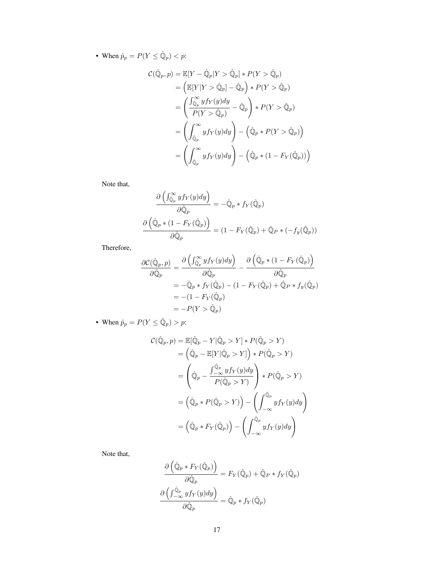• When  $\hat{p}_p = P(Y \le \hat{Q}_p) < p$ :

$$
\mathcal{C}(\hat{\mathbb{Q}}_p, p) = \mathbb{E}[Y - \hat{\mathbb{Q}}_p | Y > \hat{\mathbb{Q}}_p] * P(Y > \hat{\mathbb{Q}}_p)
$$
  
\n
$$
= \left( \mathbb{E}[Y | Y > \hat{\mathbb{Q}}_p] - \hat{\mathbb{Q}}_p \right) * P(Y > \hat{\mathbb{Q}}_p)
$$
  
\n
$$
= \left( \frac{\int_{\hat{\mathbb{Q}}_p} \mathbb{Q}_p f_Y(y) dy}{P(Y > \hat{\mathbb{Q}}_p)} - \hat{\mathbb{Q}}_p \right) * P(Y > \hat{\mathbb{Q}}_p)
$$
  
\n
$$
= \left( \int_{\hat{\mathbb{Q}}_p} \mathbb{Q}_p f_Y(y) dy \right) - \left( \hat{\mathbb{Q}}_p * P(Y > \hat{\mathbb{Q}}_p) \right)
$$
  
\n
$$
= \left( \int_{\hat{\mathbb{Q}}_p} \mathbb{Q}_p f_Y(y) dy \right) - \left( \hat{\mathbb{Q}}_p * (1 - F_Y(\hat{\mathbb{Q}}_p)) \right)
$$

Note that,

$$
\frac{\partial \left( \int_{\widehat{\mathbb{Q}}_p}^{\infty} y f_Y(y) dy \right)}{\partial \widehat{\mathbb{Q}}_p} = -\widehat{\mathbb{Q}}_p * f_Y(\widehat{\mathbb{Q}}_p)
$$

$$
\frac{\partial \left( \widehat{\mathbb{Q}}_p * (1 - F_Y(\widehat{\mathbb{Q}}_p)) \right)}{\partial \widehat{\mathbb{Q}}_p} = (1 - F_Y(\widehat{\mathbb{Q}}_p) + \widehat{\mathbb{Q}}_p * (-f_y(\widehat{\mathbb{Q}}_p))
$$

Therefore,

$$
\frac{\partial \mathcal{C}(\hat{\mathbb{Q}}_p, p)}{\partial \hat{\mathbb{Q}}_p} = \frac{\partial \left( \int_{\hat{\mathbb{Q}}_p}^{\infty} y f_Y(y) dy \right)}{\partial \hat{\mathbb{Q}}_p} - \frac{\partial \left( \hat{\mathbb{Q}}_p * (1 - F_Y(\hat{\mathbb{Q}}_p)) \right)}{\partial \hat{\mathbb{Q}}_p}
$$
  
=  $-\hat{\mathbb{Q}}_p * f_Y(\hat{\mathbb{Q}}_p) - (1 - F_Y(\hat{\mathbb{Q}}_p) + \hat{\mathbb{Q}}_p * f_y(\hat{\mathbb{Q}}_p))$   
=  $-(1 - F_Y(\hat{\mathbb{Q}}_p))$   
=  $-P(Y > \hat{\mathbb{Q}}_p)$ 

• When  $\hat{p}_p = P(Y \le \hat{Q}_p) > p$ :

$$
C(\hat{\mathbb{Q}}_p, p) = \mathbb{E}[\hat{\mathbb{Q}}_p - Y | \hat{\mathbb{Q}}_p > Y] * P(\hat{\mathbb{Q}}_p > Y)
$$
  
\n
$$
= (\hat{\mathbb{Q}}_p - \mathbb{E}[Y | \hat{\mathbb{Q}}_p > Y]) * P(\hat{\mathbb{Q}}_p > Y)
$$
  
\n
$$
= (\hat{\mathbb{Q}}_p - \frac{\int_{-\infty}^{\hat{\mathbb{Q}}_p} y f_Y(y) dy}{P(\hat{\mathbb{Q}}_p > Y)}) * P(\hat{\mathbb{Q}}_p > Y)
$$
  
\n
$$
= (\hat{\mathbb{Q}}_p * P(\hat{\mathbb{Q}}_p > Y)) - (\int_{-\infty}^{\hat{\mathbb{Q}}_p} y f_Y(y) dy)
$$
  
\n
$$
= (\hat{\mathbb{Q}}_p * F_Y(\hat{\mathbb{Q}}_p)) - (\int_{-\infty}^{\hat{\mathbb{Q}}_p} y f_Y(y) dy)
$$

Note that,

$$
\frac{\partial \left( \hat{\mathbb{Q}}_p * F_Y(\hat{\mathbb{Q}}_p) \right)}{\partial \hat{\mathbb{Q}}_p} = F_Y(\hat{\mathbb{Q}}_p) + \hat{\mathbb{Q}}_P * f_Y(\hat{\mathbb{Q}}_p)
$$

$$
\frac{\partial \left( \int_{-\infty}^{\hat{\mathbb{Q}}_p} y f_Y(y) dy \right)}{\partial \hat{\mathbb{Q}}_p} = \hat{\mathbb{Q}}_p * f_Y(\hat{\mathbb{Q}}_p)
$$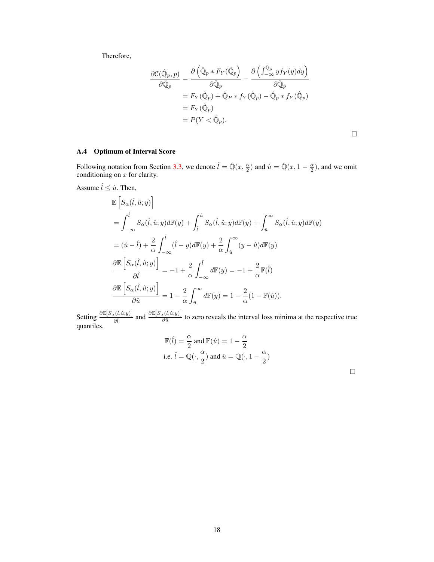Therefore,

$$
\frac{\partial \mathcal{C}(\hat{\mathbb{Q}}_p, p)}{\partial \hat{\mathbb{Q}}_p} = \frac{\partial \left( \hat{\mathbb{Q}}_p * F_Y(\hat{\mathbb{Q}}_p) - \frac{\partial \left( \int_{-\infty}^{\hat{\mathbb{Q}}_p} y f_Y(y) dy \right)}{\partial \hat{\mathbb{Q}}_p} \right)}{\partial \hat{\mathbb{Q}}_p}
$$
\n
$$
= F_Y(\hat{\mathbb{Q}}_p) + \hat{\mathbb{Q}}_P * f_Y(\hat{\mathbb{Q}}_p) - \hat{\mathbb{Q}}_p * f_Y(\hat{\mathbb{Q}}_p)
$$
\n
$$
= F_Y(\hat{\mathbb{Q}}_p)
$$
\n
$$
= P(Y < \hat{\mathbb{Q}}_p).
$$

$$
\Box
$$

# A.4 Optimum of Interval Score

Following notation from Section 3.3, we denote  $\hat{l} = \hat{Q}(x, \frac{\alpha}{2})$  and  $\hat{u} = \hat{Q}(x, 1 - \frac{\alpha}{2})$ , and we omit conditioning on  $x$  for clarity.

Assume  $\hat{l} \leq \hat{u}$ . Then,

$$
\begin{split} &\mathbb{E}\left[S_{\alpha}(\hat{l},\hat{u};y)\right]\\ &=\int_{-\infty}^{\hat{l}}S_{\alpha}(\hat{l},\hat{u};y)d\mathbb{F}(y)+\int_{\hat{l}}^{\hat{u}}S_{\alpha}(\hat{l},\hat{u};y)d\mathbb{F}(y)+\int_{\hat{u}}^{\infty}S_{\alpha}(\hat{l},\hat{u};y)d\mathbb{F}(y)\\ &=(\hat{u}-\hat{l})+\frac{2}{\alpha}\int_{-\infty}^{\hat{l}}(\hat{l}-y)d\mathbb{F}(y)+\frac{2}{\alpha}\int_{\hat{u}}^{\infty}(y-\hat{u})d\mathbb{F}(y)\\ &\frac{\partial\mathbb{E}\left[S_{\alpha}(\hat{l},\hat{u};y)\right]}{\partial\hat{l}}=-1+\frac{2}{\alpha}\int_{-\infty}^{\hat{l}}d\mathbb{F}(y)=-1+\frac{2}{\alpha}\mathbb{F}(\hat{l})\\ &\frac{\partial\mathbb{E}\left[S_{\alpha}(\hat{l},\hat{u};y)\right]}{\partial\hat{u}}=1-\frac{2}{\alpha}\int_{\hat{u}}^{\infty}d\mathbb{F}(y)=1-\frac{2}{\alpha}(1-\mathbb{F}(\hat{u})). \end{split}
$$

Setting  $\frac{\partial \mathbb{E}[S_{\alpha}(\hat{i},\hat{u};y)]}{\partial \hat{i}}$  and  $\frac{\partial \mathbb{E}[S_{\alpha}(\hat{i},\hat{u};y)]}{\partial \hat{u}}$  to zero reveals the interval loss minima at the respective true quantiles,

$$
\begin{aligned} &\mathbb{F}(\hat{l})=\frac{\alpha}{2} \text{ and } \mathbb{F}(\hat{u})=1-\frac{\alpha}{2} \\ &\text{i.e.}~\hat{l}=\mathbb{Q}(\cdot,\frac{\alpha}{2}) \text{ and } \hat{u}=\mathbb{Q}(\cdot,1-\frac{\alpha}{2}) \end{aligned}
$$

 $\Box$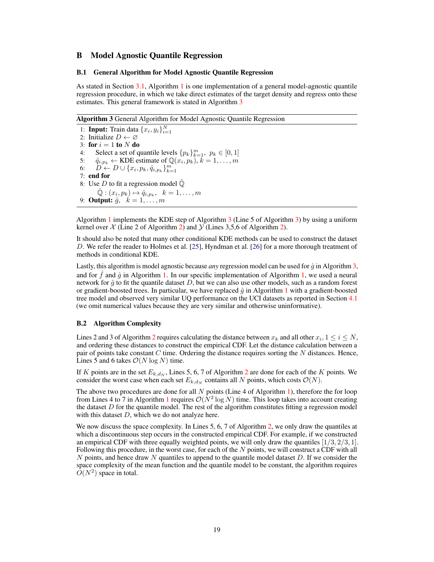# B Model Agnostic Quantile Regression

#### B.1 General Algorithm for Model Agnostic Quantile Regression

As stated in Section 3.1, Algorithm 1 is one implementation of a general model-agnostic quantile regression procedure, in which we take direct estimates of the target density and regress onto these estimates. This general framework is stated in Algorithm [3](#page-4-0)

Algorithm 3 General Algorithm for Model Agnostic Quantile Regression

<span id="page-4-0"></span>1: **Input:** Train data  $\{x_i, y_i\}_{i=1}^N$ 2: Initialize  $D \leftarrow \emptyset$ 3: for  $i = 1$  to  $N$  do 4: Select a set of quantile levels  $\{p_k\}_{k=1}^m$ ,  $p_k \in [0, 1]$ 5:  $\hat{q}_{i,p_k} \leftarrow \text{KDE}$  estimate of  $\mathbb{Q}(\hat{x}_i, p_k), k = 1, \ldots, m$ 6:  $\overrightarrow{D} \leftarrow D \cup \{x_i, p_k, \hat{q}_{i,p_k}\}_{k=1}^m$ 7: end for 8: Use D to fit a regression model  $\hat{\mathbb{Q}}$  $\hat{\mathbb{Q}}:(x_i,p_k)\mapsto \hat{q}_{i,p_k},\ \ k=1,\ldots,m$ 9: **Output:**  $\hat{g}$ ,  $k = 1, \ldots, m$ 

Algorithm 1 implements the KDE step of Algorithm [3](#page-4-0) (Line 5 of Algorithm [3\)](#page-4-0) by using a uniform kernel over  $\chi$  (Line 2 of Algorithm 2) and  $\chi$  (Lines 3,5,6 of Algorithm 2).

It should also be noted that many other conditional KDE methods can be used to construct the dataset D. We refer the reader to Holmes et al. [25], Hyndman et al. [26] for a more thorough treatment of methods in conditional KDE.

Lastly, this algorithm is model agnostic because *any* regression model can be used for  $\hat{g}$  in Algorithm [3,](#page-4-0) and for f and  $\hat{q}$  in Algorithm 1. In our specific implementation of Algorithm 1, we used a neural network for  $\hat{g}$  to fit the quantile dataset D, but we can also use other models, such as a random forest or gradient-boosted trees. In particular, we have replaced  $\hat{g}$  in Algorithm 1 with a gradient-boosted tree model and observed very similar UQ performance on the UCI datasets as reported in Section 4.1 (we omit numerical values because they are very similar and otherwise uninformative).

#### B.2 Algorithm Complexity

Lines 2 and 3 of Algorithm 2 requires calculating the distance between  $x_k$  and all other  $x_i, 1 \le i \le N$ , and ordering these distances to construct the empirical CDF. Let the distance calculation between a pair of points take constant  $C$  time. Ordering the distance requires sorting the  $N$  distances. Hence, Lines 5 and 6 takes  $\mathcal{O}(N \log N)$  time.

If K points are in the set  $E_{k,d_N}$ , Lines 5, 6, 7 of Algorithm 2 are done for each of the K points. We consider the worst case when each set  $E_{k,d_N}$  contains all N points, which costs  $\mathcal{O}(N)$ .

The above two procedures are done for all  $N$  points (Line 4 of Algorithm 1), therefore the for loop from Lines 4 to 7 in Algorithm 1 requires  $\mathcal{O}(N^2 \log N)$  time. This loop takes into account creating the dataset  $D$  for the quantile model. The rest of the algorithm constitutes fitting a regression model with this dataset  $D$ , which we do not analyze here.

We now discuss the space complexity. In Lines 5, 6, 7 of Algorithm 2, we only draw the quantiles at which a discontinuous step occurs in the constructed empirical CDF. For example, if we constructed an empirical CDF with three equally weighted points, we will only draw the quantiles  $[1/3, 2/3, 1]$ . Following this procedure, in the worst case, for each of the N points, we will construct a CDF with all  $N$  points, and hence draw  $N$  quantiles to append to the quantile model dataset  $D$ . If we consider the space complexity of the mean function and the quantile model to be constant, the algorithm requires  $\overline{O}(N^2)$  space in total.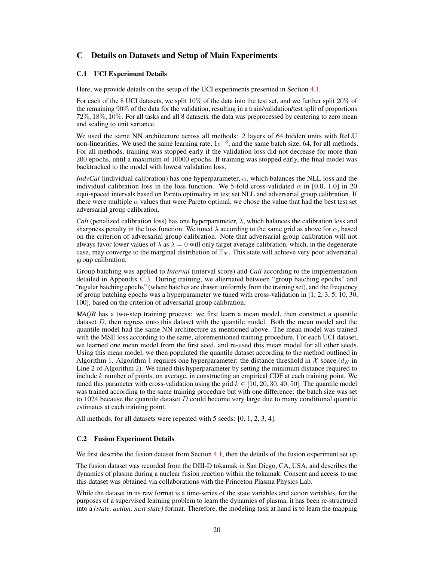# C Details on Datasets and Setup of Main Experiments

#### <span id="page-5-0"></span>C.1 UCI Experiment Details

Here, we provide details on the setup of the UCI experiments presented in Section 4.1.

For each of the 8 UCI datasets, we split  $10\%$  of the data into the test set, and we further split  $20\%$  of the remaining 90% of the data for the validation, resulting in a train/validation/test split of proportions 72%, 18%, 10%. For all tasks and all 8 datasets, the data was preprocessed by centering to zero mean and scaling to unit variance.

We used the same NN architecture across all methods: 2 layers of 64 hidden units with ReLU non-linearities. We used the same learning rate,  $1e^{-3}$ , and the same batch size, 64, for all methods. For all methods, training was stopped early if the validation loss did not decrease for more than 200 epochs, until a maximum of 10000 epochs. If training was stopped early, the final model was backtracked to the model with lowest validation loss.

*IndvCal* (individual calibration) has one hyperparameter,  $\alpha$ , which balances the NLL loss and the individual calibration loss in the loss function. We 5-fold cross-validated  $\alpha$  in [0.0, 1.0] in 20 equi-spaced intervals based on Pareto optimality in test set NLL and adversarial group calibration. If there were multiple  $\alpha$  values that were Pareto optimal, we chose the value that had the best test set adversarial group calibration.

*Cali* (penalized calibration loss) has one hyperparameter, λ, which balances the calibration loss and sharpness penalty in the loss function. We tuned  $\lambda$  according to the same grid as above for  $\alpha$ , based on the criterion of adversarial group calibration. Note that adversarial group calibration will not always favor lower values of  $\lambda$  as  $\lambda = 0$  will only target average calibration, which, in the degenerate case, may converge to the marginal distribution of  $\mathbb{F}_{Y}$ . This state will achieve very poor adversarial group calibration.

Group batching was applied to *Interval* (interval score) and *Cali* according to the implementation detailed in Appendix [C.3.](#page-6-0) During training, we alternated between "group batching epochs" and "regular batching epochs" (where batches are drawn uniformly from the training set), and the frequency of group batching epochs was a hyperparameter we tuned with cross-validation in [1, 2, 3, 5, 10, 30, 100], based on the criterion of adversarial group calibration.

*MAQR* has a two-step training process: we first learn a mean model, then construct a quantile dataset D, then regress onto this dataset with the quantile model. Both the mean model and the quantile model had the same NN architecture as mentioned above. The mean model was trained with the MSE loss according to the same, aforementioned training procedure. For each UCI dataset, we learned one mean model from the first seed, and re-used this mean model for all other seeds. Using this mean model, we then populated the quantile dataset according to the method outlined in Algorithm 1. Algorithm 1 requires one hyperparameter: the distance threshold in  $\mathcal X$  space  $(d_N$  in Line 2 of Algorithm 2). We tuned this hyperparameter by setting the minimum distance required to include k number of points, on average, in constructing an empirical CDF at each training point. We tuned this parameter with cross-validation using the grid  $k \in [10, 20, 30, 40, 50]$ . The quantile model was trained according to the same training procedure but with one difference: the batch size was set to 1024 because the quantile dataset  $D$  could become very large due to many conditional quantile estimates at each training point.

All methods, for all datasets were repeated with 5 seeds: [0, 1, 2, 3, 4].

#### C.2 Fusion Experiment Details

We first describe the fusion dataset from Section 4.1, then the details of the fusion experiment set up.

The fusion dataset was recorded from the DIII-D tokamak in San Diego, CA, USA, and describes the dynamics of plasma during a nuclear fusion reaction within the tokamak. Consent and access to use this dataset was obtained via collaborations with the Princeton Plasma Physics Lab.

While the dataset in its raw format is a time-series of the state variables and action variables, for the purposes of a supervised learning problem to learn the dynamics of plasma, it has been re-structrued into a *(state, action, next state)* format. Therefore, the modeling task at hand is to learn the mapping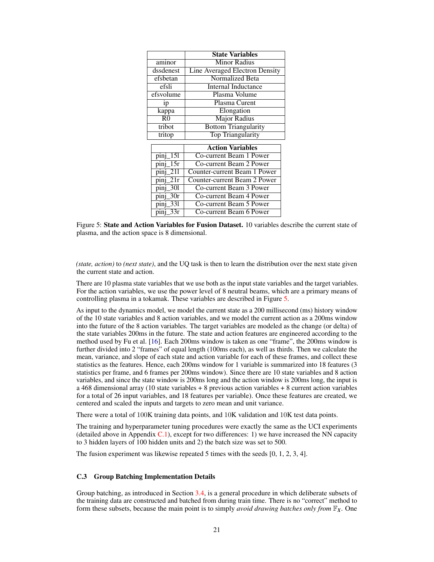<span id="page-6-1"></span>

|                          | <b>State Variables</b>                |
|--------------------------|---------------------------------------|
| aminor                   | <b>Minor Radius</b>                   |
| dssdenest                | <b>Line Averaged Electron Density</b> |
| efsbetan                 | Normalized Beta                       |
| efsli                    | Internal Inductance                   |
| efsvolume                | Plasma Volume                         |
| 1p                       | Plasma Curent                         |
| kappa                    | Elongation                            |
| R <sub>0</sub>           | <b>Major Radius</b>                   |
| tribot                   | <b>Bottom Triangularity</b>           |
| tritop                   | <b>Top Triangularity</b>              |
|                          |                                       |
|                          | <b>Action Variables</b>               |
| 151<br>pinj              | Co-current Beam 1 Power               |
| 15r<br>pinj              | Co-current Beam 2 Power               |
| 211<br>pinj              | Counter-current Beam 1 Power          |
| 21r<br>pinj              | Counter-current Beam 2 Power          |
| 301<br>pinj              | Co-current Beam 3 Power               |
| 30r<br>pinj              | Co-current Beam 4 Power               |
| 331<br>$\overline{pinj}$ | Co-current Beam 5 Power               |
| $\overline{33}r$<br>pinj | Co-current Beam 6 Power               |

Figure 5: State and Action Variables for Fusion Dataset. 10 variables describe the current state of plasma, and the action space is 8 dimensional.

*(state, action)* to *(next state)*, and the UQ task is then to learn the distribution over the next state given the current state and action.

There are 10 plasma state variables that we use both as the input state variables and the target variables. For the action variables, we use the power level of 8 neutral beams, which are a primary means of controlling plasma in a tokamak. These variables are described in Figure [5.](#page-6-1)

As input to the dynamics model, we model the current state as a 200 millisecond (ms) history window of the 10 state variables and 8 action variables, and we model the current action as a 200ms window into the future of the 8 action variables. The target variables are modeled as the change (or delta) of the state variables 200ms in the future. The state and action features are engineered according to the method used by Fu et al. [16]. Each 200ms window is taken as one "frame", the 200ms window is further divided into 2 "frames" of equal length (100ms each), as well as thirds. Then we calculate the mean, variance, and slope of each state and action variable for each of these frames, and collect these statistics as the features. Hence, each 200ms window for 1 variable is summarized into 18 features (3 statistics per frame, and 6 frames per 200ms window). Since there are 10 state variables and 8 action variables, and since the state window is 200ms long and the action window is 200ms long, the input is a 468 dimensional array (10 state variables + 8 previous action variables + 8 current action variables for a total of 26 input variables, and 18 features per variable). Once these features are created, we centered and scaled the inputs and targets to zero mean and unit variance.

There were a total of 100K training data points, and 10K validation and 10K test data points.

The training and hyperparameter tuning procedures were exactly the same as the UCI experiments (detailed above in Appendix  $C<sub>1</sub>$ ), except for two differences: 1) we have increased the NN capacity to 3 hidden layers of 100 hidden units and 2) the batch size was set to 500.

The fusion experiment was likewise repeated 5 times with the seeds [0, 1, 2, 3, 4].

#### <span id="page-6-0"></span>C.3 Group Batching Implementation Details

Group batching, as introduced in Section 3.4, is a general procedure in which deliberate subsets of the training data are constructed and batched from during train time. There is no "correct" method to form these subsets, because the main point is to simply *avoid drawing batches only from* F*X*. One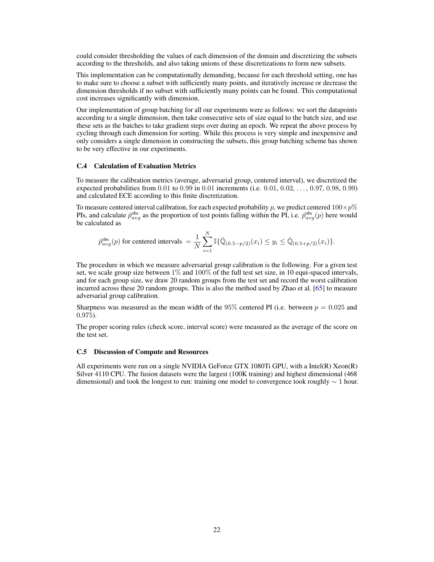could consider thresholding the values of each dimension of the domain and discretizing the subsets according to the thresholds, and also taking unions of these discretizations to form new subsets.

This implementation can be computationally demanding, because for each threshold setting, one has to make sure to choose a subset with sufficiently many points, and iteratively increase or decrease the dimension thresholds if no subset with sufficiently many points can be found. This computational cost increases significantly with dimension.

Our implementation of group batching for all our experiments were as follows: we sort the datapoints according to a single dimension, then take consecutive sets of size equal to the batch size, and use these sets as the batches to take gradient steps over during an epoch. We repeat the above process by cycling through each dimension for sorting. While this process is very simple and inexpensive and only considers a single dimension in constructing the subsets, this group batching scheme has shown to be very effective in our experiments.

#### C.4 Calculation of Evaluation Metrics

To measure the calibration metrics (average, adversarial group, centered interval), we discretized the expected probabilities from 0.01 to 0.99 in 0.01 increments (i.e. 0.01, 0.02, . . . , 0.97, 0.98, 0.99) and calculated ECE according to this finite discretization.

To measure centered interval calibration, for each expected probability p, we predict centered  $100\times p\%$ PIs, and calculate  $\hat{p}_{avg}^{obs}$  as the proportion of test points falling within the PI, i.e.  $\hat{p}_{avg}^{obs}(p)$  here would be calculated as

$$
\hat{p}_{avg}^{obs}(p) \text{ for centered intervals } = \frac{1}{N} \sum_{i=1}^{N} \mathbb{I}\{\hat{\mathbb{Q}}_{(0.5-p/2)}(x_i) \leq y_i \leq \hat{\mathbb{Q}}_{(0.5+p/2)}(x_i)\}.
$$

The procedure in which we measure adversarial group calibration is the following. For a given test set, we scale group size between 1% and 100% of the full test set size, in 10 equi-spaced intervals, and for each group size, we draw 20 random groups from the test set and record the worst calibration incurred across these 20 random groups. This is also the method used by Zhao et al. [65] to measure adversarial group calibration.

Sharpness was measured as the mean width of the 95% centered PI (i.e. between  $p = 0.025$  and 0.975).

The proper scoring rules (check score, interval score) were measured as the average of the score on the test set.

#### C.5 Discussion of Compute and Resources

All experiments were run on a single NVIDIA GeForce GTX 1080Ti GPU, with a Intel(R) Xeon(R) Silver 4110 CPU. The fusion datasets were the largest (100K training) and highest dimensional (468 dimensional) and took the longest to run: training one model to convergence took roughly  $\sim 1$  hour.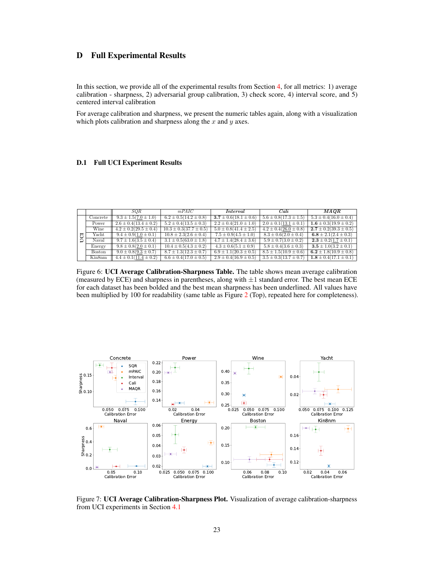# D Full Experimental Results

In this section, we provide all of the experimental results from Section 4, for all metrics: 1) average calibration - sharpness, 2) adversarial group calibration, 3) check score, 4) interval score, and 5) centered interval calibration

For average calibration and sharpness, we present the numeric tables again, along with a visualization which plots calibration and sharpness along the  $x$  and  $y$  axes.

### <span id="page-8-0"></span>D.1 Full UCI Experiment Results

|   |               | <b>SOR</b>                  | mPAIC                        | Interval                    | Cali                        | MAOR                        |
|---|---------------|-----------------------------|------------------------------|-----------------------------|-----------------------------|-----------------------------|
|   | Concrete      | $9.3 \pm 1.5(7.0 \pm 1.0)$  | $6.2 \pm 0.5(14.2 \pm 0.8)$  | $3.7 \pm 0.6(18.1 \pm 0.6)$ | $5.6 \pm 0.8(17.3 \pm 1.5)$ | $5.3 \pm 0.4(16.0 \pm 0.4)$ |
|   | Power         | $2.6 \pm 0.4(13.4 \pm 0.2)$ | $5.2 \pm 0.4(13.5 \pm 0.3)$  | $2.2 \pm 0.4(21.0 \pm 1.0)$ | $2.0 \pm 0.1(13.1 \pm 0.1)$ | $1.6 \pm 0.3(19.9 \pm 0.2)$ |
|   | Wine          | $4.2 \pm 0.2(29.5 \pm 0.4)$ | $10.3 \pm 0.3(37.7 \pm 0.5)$ | $5.0 \pm 0.8(41.4 \pm 2.5)$ | $4.2 \pm 0.4(26.0 \pm 0.8)$ | $2.7 \pm 0.2(39.3 \pm 0.5)$ |
| Ħ | Yacht         | $9.4 \pm 0.9(1.0 \pm 0.1)$  | $10.8 \pm 2.3(2.6 \pm 0.4)$  | $7.5 \pm 0.9(4.5 \pm 1.0)$  | $8.3 \pm 0.6(2.0 \pm 0.4)$  | $6.8 \pm 2.1(2.4 \pm 0.3)$  |
| Đ | Naval         | $9.7 \pm 1.6(3.5 \pm 0.4)$  | $3.1 \pm 0.5(63.0 \pm 1.8)$  | $4.7 \pm 1.4(28.4 \pm 3.6)$ | $5.9 \pm 0.7(3.0 \pm 0.2)$  | $2.3 \pm 0.2(1.7 \pm 0.1)$  |
|   | Energy        | $9.8 \pm 0.8(2.0 \pm 0.1)$  | $10.4 \pm 0.5(4.3 \pm 0.2)$  | $4.3 \pm 0.6(5.1 \pm 0.9)$  | $5.8 \pm 0.4(3.6 \pm 0.3)$  | $3.5 \pm 1.0(3.2 \pm 0.1)$  |
|   | <b>Boston</b> | $9.0 \pm 0.8(9.3 \pm 0.7)$  | $8.7 \pm 1.3(12.3 \pm 0.7)$  | $6.9 \pm 1.1(20.3 \pm 0.5)$ | $8.5 \pm 1.5(10.9 \pm 0.6)$ | $6.2 \pm 1.8(10.9 \pm 0.8)$ |
|   | Kin8nm        | $4.4 \pm 0.1(11.4 \pm 0.2)$ | $6.6 \pm 0.4(17.0 \pm 0.5)$  | $2.9 \pm 0.4(16.9 \pm 0.5)$ | $3.5 \pm 0.3(13.7 \pm 0.7)$ | $1.8 \pm 0.4(17.1 \pm 0.1)$ |

Figure 6: UCI Average Calibration-Sharpness Table. The table shows mean average calibration<br>(measured by ECE) and sharpness in parentheses along with  $+1$  standard error. The best mean ECE dssdenest 4.4 ± 0.5(7.2 ± 0.2) 8.4 ± 0.1(13.7 ± 0.1) 2.9 ± 0.3(13.3 ± 0.4) 4.1 ± 0.5(8.9 ± 0.3) NA (measured by ECE) and sharpness in parentheses, along with  $\pm 1$  standard error. The best mean ECE been multiplied by 100 for readability (same table as Figure 2 (Top), repeated here for completeness). for each dataset has been bolded and the best mean sharpness has been underlined. All values have



Figure 7: UCI Average Calibration-Sharpness Plot. Visualization of average calibration-sharpness from UCI experiments in Section 4.1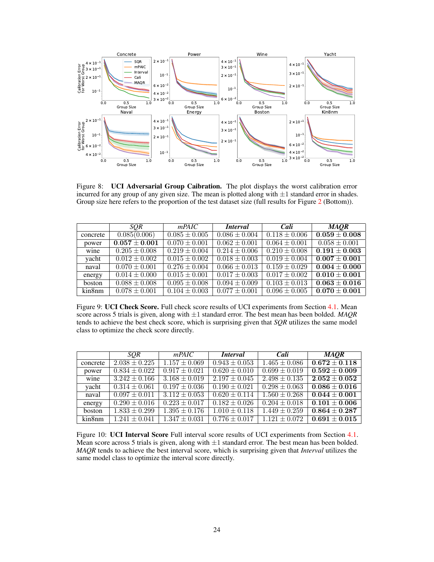

Figure 8: UCI Adversarial Group Caibration. The plot displays the worst calibration error incurred for any group of any given size. The mean is plotted along with  $\pm 1$  standard error in shades. Group size here refers to the proportion of the test dataset size (full results for Figure 2 (Bottom)).

|               | <b>SOR</b>        | mPAIC                        | <i>Interval</i>   | Cali                     | <b>MAOR</b>                  |
|---------------|-------------------|------------------------------|-------------------|--------------------------|------------------------------|
| concrete      | 0.085(0.006)      | $0.085 \pm 0.005$            | $0.086 \pm 0.004$ | $0.118 \pm 0.006$        | $\overline{0.059\pm0.008}$   |
| power         | $0.057 \pm 0.001$ | $0.070 \pm 0.001$            | $0.062 \pm 0.001$ | $0.064 \pm 0.001$        | $0.058 \pm 0.001$            |
| wine          | $0.205 \pm 0.008$ | $0.219 \pm 0.004$            | $0.214 \pm 0.006$ | $0.210 \pm 0.008$        | $0.191 \pm 0.003$            |
| yacht         | $0.012 \pm 0.002$ | $\overline{0.015} \pm 0.002$ | $0.018 \pm 0.003$ | $0.019 \pm 0.004$        | $\overline{0.007} \pm 0.001$ |
| naval         | $0.070 \pm 0.001$ | $0.276 \pm 0.004$            | $0.066 \pm 0.013$ | $0.159 \pm 0.029$        | $\overline{0.004} \pm 0.000$ |
| energy        | $0.014 \pm 0.000$ | $0.015 \pm 0.001$            | $0.017 \pm 0.003$ | $\sqrt{0.017 \pm 0.002}$ | $0.010 + 0.001$              |
| <b>boston</b> | $0.088 \pm 0.008$ | $0.095 \pm 0.008$            | $0.094 \pm 0.009$ | $0.103 \pm 0.013$        | $\overline{0.063\pm0.016}$   |
| kin8nm        | $0.078 \pm 0.001$ | $0.104 \pm 0.003$            | $0.077 \pm 0.001$ | $0.096 \pm 0.005$        | $0.070\pm0.001$              |

Figure 9: UCI Check Score. Full check score results of UCI experiments from Section 4.1. Mean score across 5 trials is given, along with ±1 standard error. The best mean has been bolded. *MAQR* tends to achieve the best check score, which is surprising given that *SQR* utilizes the same model class to optimize the check score directly.

|                            | <b>SOR</b>        | mPAIC             | <i>Interval</i>   | Cali              | <b>MAOR</b>                  |
|----------------------------|-------------------|-------------------|-------------------|-------------------|------------------------------|
| concrete                   | $2.038 \pm 0.225$ | $1.157 \pm 0.069$ | $0.943 \pm 0.053$ | $1.465 \pm 0.086$ | $0.672 \pm 0.118$            |
| power                      | $0.834 \pm 0.022$ | $0.917 \pm 0.021$ | $0.620 \pm 0.010$ | $0.699 \pm 0.019$ | $0.592 \pm 0.009$            |
| wine                       | $3.242 \pm 0.166$ | $3.168 \pm 0.019$ | $2.197 \pm 0.045$ | $2.498 + 0.135$   | $\overline{2.052\pm0.052}$   |
| yacht                      | $0.314 \pm 0.061$ | $0.197 \pm 0.036$ | $0.190 \pm 0.021$ | $0.298 \pm 0.063$ | $\overline{0.086\pm0.016}$   |
| naval                      | $0.097 \pm 0.011$ | $3.112 \pm 0.053$ | $0.620 \pm 0.114$ | $1.560 \pm 0.268$ | $0.044 \pm 0.001$            |
| energy                     | $0.290 \pm 0.016$ | $0.223 \pm 0.017$ | $0.182 \pm 0.026$ | $0.204 \pm 0.018$ | $\overline{0.101} \pm 0.006$ |
| <b>boston</b>              | $1.833 \pm 0.299$ | $1.395 \pm 0.176$ | $1.010 \pm 0.118$ | $1.449 \pm 0.259$ | $0.864 + 0.287$              |
| $\overline{\text{kin8nm}}$ | $1.241 \pm 0.041$ | $1.347 \pm 0.031$ | $0.776 \pm 0.017$ | $1.121 + 0.072$   | $0.691 + 0.015$              |

Figure 10: UCI Interval Score Full interval score results of UCI experiments from Section 4.1. Mean score across 5 trials is given, along with  $\pm 1$  standard error. The best mean has been bolded. *MAQR* tends to achieve the best interval score, which is surprising given that *Interval* utilizes the same model class to optimize the interval score directly.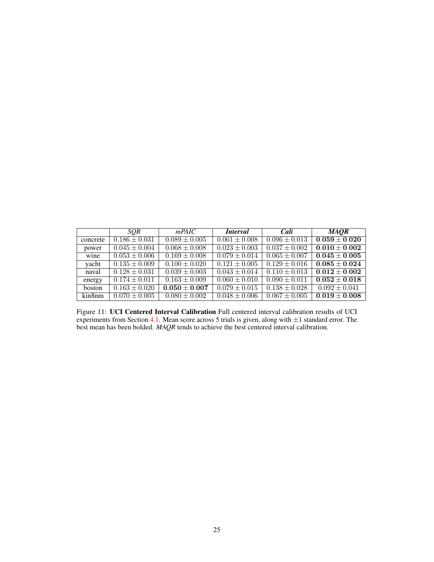|               | <b>SOR</b>                   | mPAIC             | <i>Interval</i>              | Cali              | <b>MAOR</b>                  |
|---------------|------------------------------|-------------------|------------------------------|-------------------|------------------------------|
| concrete      | $0.186 \pm 0.031$            | $0.089 + 0.005$   | $0.061 + 0.008$              | $0.096 \pm 0.013$ | $\overline{0.059\pm0.020}$   |
| power         | $0.045 \pm 0.004$            | $0.068 \pm 0.008$ | $0.023 \pm 0.003$            | $0.037 \pm 0.002$ | $0.010 + 0.002$              |
| wine          | $\overline{0.053} \pm 0.006$ | $0.169 \pm 0.008$ | $0.079 \pm 0.014$            | $0.065 \pm 0.007$ | $\overline{0.045\pm0.005}$   |
| yacht         | $0.135 \pm 0.009$            | $0.100 \pm 0.020$ | $0.121 \pm 0.005$            | $0.129 \pm 0.016$ | $\overline{0.085\pm0.024}$   |
| naval         | $0.128 \pm 0.031$            | $0.039 \pm 0.003$ | $0.043 \pm 0.014$            | $0.110 \pm 0.013$ | $0.012 \pm 0.002$            |
| energy        | $0.174 \pm 0.011$            | $0.163 \pm 0.009$ | $0.060 \pm 0.010$            | $0.090 \pm 0.011$ | $\overline{0.052\pm 0.018}$  |
| <b>boston</b> | $0.163 \pm 0.020$            | $0.050 \pm 0.007$ | $\overline{0.079} \pm 0.015$ | $0.138 \pm 0.028$ | $\overline{0.092} \pm 0.041$ |
| kin8nm        | $0.070 \pm 0.005$            | $0.080 \pm 0.002$ | $0.048 \pm 0.006$            | $0.067 \pm 0.005$ | $0.019 \pm 0.008$            |

Figure 11: UCI Centered Interval Calibration Full centered interval calibration results of UCI experiments from Section 4.1. Mean score across 5 trials is given, along with ±1 standard error. The best mean has been bolded. *MAQR* tends to achieve the best centered interval calibration.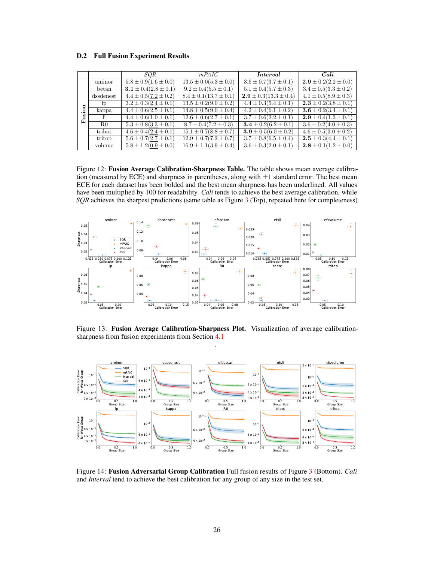#### <span id="page-11-0"></span>D.2 Full Fusion Experiment Results

|        |           | SQR                        | mPAIC                       | <i>Interval</i>             | Cali                                   |
|--------|-----------|----------------------------|-----------------------------|-----------------------------|----------------------------------------|
|        | aminor    | $5.8 \pm 0.9(1.6 \pm 0.0)$ | $13.5 \pm 0.0(5.3 \pm 0.0)$ | $3.6 \pm 0.7(3.7 \pm 0.1)$  | $\overline{2.9} \pm 0.2(2.2 \pm 0.0)$  |
|        | betan     | $3.1 \pm 0.4(2.8 \pm 0.1)$ | $9.2 \pm 0.4(5.5 \pm 0.1)$  | $5.1 \pm 0.4 (5.7 \pm 0.3)$ | $3.4 \pm 0.5(3.3 \pm 0.2)$             |
|        | dssdenest | $4.4 \pm 0.5(7.2 \pm 0.2)$ | $8.4 \pm 0.1(13.7 \pm 0.1)$ | $2.9 \pm 0.3(13.3 \pm 0.4)$ | $4.1 \pm 0.5(8.9 \pm 0.3)$             |
|        | ip        | $3.2 \pm 0.3(2.4 \pm 0.1)$ | $13.5 \pm 0.2(9.0 \pm 0.2)$ | $4.4 \pm 0.3(5.4 \pm 0.1)$  | $2.3 \pm 0.2(3.8 \pm 0.1)$             |
| ion    | kappa     | $4.4 \pm 0.6(2.5 \pm 0.1)$ | $14.8 \pm 0.5(9.0 \pm 0.4)$ | $4.2 \pm 0.4(6.1 \pm 0.2)$  | $\overline{3.6 \pm 0.2} (3.4 \pm 0.1)$ |
| g<br>£ | li.       | $4.4 \pm 0.6(1.0 \pm 0.1)$ | $12.6 \pm 0.6(2.7 \pm 0.1)$ | $3.7 \pm 0.6(2.2 \pm 0.1)$  | $2.9 \pm 0.4(1.3 \pm 0.1)$             |
|        | R0        | $5.3 \pm 0.8(3.3 \pm 0.1)$ | $8.7 \pm 0.4(7.2 \pm 0.3)$  | $3.4 \pm 0.2 (6.2 \pm 0.1)$ | $3.6 \pm 0.2(4.0 \pm 0.3)$             |
|        | tribot    | $4.6 \pm 0.4(2.4 \pm 0.1)$ | $15.1 \pm 0.7(8.8 \pm 0.7)$ | $3.9 \pm 0.5(6.0 \pm 0.2)$  | $4.6 \pm 0.5(3.0 \pm 0.2)$             |
|        | tritop    | $5.6 \pm 0.7(2.7 \pm 0.1)$ | $12.9 \pm 0.7(7.2 \pm 0.7)$ | $3.7 \pm 0.8(6.5 \pm 0.4)$  | $2.5 \pm 0.3(4.4 \pm 0.1)$             |
|        | volume    | $5.8 \pm 1.2(0.9 \pm 0.0)$ | $16.9 \pm 1.1(3.9 \pm 0.4)$ | $3.6 \pm 0.3(2.0 \pm 0.1)$  | $2.8 \pm 0.1(1.2 \pm 0.0)$             |

Figure 12: Fusion Average Calibration-Sharpness Table. The table shows mean average calibration (measured by ECE) and sharpness in parentheses, along with  $\pm 1$  standard error. The best mean ECE for each dataset has been bolded and the best mean sharpness has been underlined. All values have been multiplied by 100 for readability. *Cali* tends to achieve the best average calibration, while *SQR* achieves the sharpest predictions (same table as Figure 3 (Top), repeated here for completeness)



Figure 13: Fusion Average Calibration-Sharpness Plot. Visualization of average calibrationsharpness from fusion experiments from Section 4.1 .



Figure 14: Fusion Adversarial Group Calibration Full fusion results of Figure 3 (Bottom). *Cali* and *Interval* tend to achieve the best calibration for any group of any size in the test set.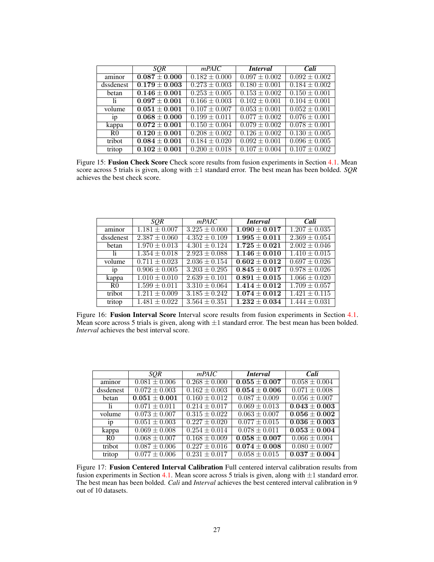|                | <b>SOR</b>        | mPAIC             | <i>Interval</i>              | Cali              |
|----------------|-------------------|-------------------|------------------------------|-------------------|
| aminor         | $0.087 \pm 0.000$ | $0.182 \pm 0.000$ | $0.097 \pm 0.002$            | $0.092 \pm 0.002$ |
| dssdenest      | $0.179 \pm 0.003$ | $0.273 \pm 0.003$ | $0.180 \pm 0.001$            | $0.184 \pm 0.002$ |
| betan          | $0.146 \pm 0.001$ | $0.253 \pm 0.005$ | $\overline{0.153} \pm 0.002$ | $0.150 \pm 0.001$ |
| -li            | $0.097 \pm 0.001$ | $0.166 \pm 0.003$ | $\overline{0.102} \pm 0.001$ | $0.104 \pm 0.001$ |
| volume         | $0.051 \pm 0.001$ | $0.107 \pm 0.007$ | $0.053 \pm 0.001$            | $0.052 \pm 0.001$ |
| 1 <sub>D</sub> | $0.068 \pm 0.000$ | $0.199 \pm 0.011$ | $0.077 \pm 0.002$            | $0.076 \pm 0.001$ |
| kappa          | $0.072 \pm 0.001$ | $0.150 \pm 0.004$ | $0.079 \pm 0.002$            | $0.078 \pm 0.001$ |
| R <sub>0</sub> | $0.120 \pm 0.001$ | $0.208 \pm 0.002$ | $0.126 \pm 0.002$            | $0.130 \pm 0.005$ |
| tribot         | $0.084 \pm 0.001$ | $0.184 \pm 0.020$ | $0.092 \pm 0.001$            | $0.096 \pm 0.005$ |
| tritop         | $0.102 \pm 0.001$ | $0.200 \pm 0.018$ | $0.107 \pm 0.004$            | $0.107 \pm 0.002$ |

Figure 15: Fusion Check Score Check score results from fusion experiments in Section 4.1. Mean score across 5 trials is given, along with ±1 standard error. The best mean has been bolded. *SQR* achieves the best check score.

|                | <b>SOR</b>        | mPAIC                        | <i>Interval</i>             | Cali              |
|----------------|-------------------|------------------------------|-----------------------------|-------------------|
| aminor         | $1.181 + 0.007$   | $3.225 \pm 0.000$            | $1.090 \pm 0.017$           | $1.207 \pm 0.035$ |
| dssdenest      | $2.387 \pm 0.060$ | $4.352 \pm 0.109$            | $\overline{1.995\pm0.011}$  | $2.369 \pm 0.054$ |
| betan          | $1.970 \pm 0.013$ | $4.301 \pm 0.124$            | $1.725 \pm 0.021$           | $2.002 \pm 0.046$ |
| -li            | $1.354 \pm 0.018$ | $2.923 \pm 0.088$            | $1.146 \pm 0.010$           | $1.410 \pm 0.015$ |
| volume         | $0.711 \pm 0.023$ | $2.036 \pm 0.154$            | $\overline{0.602\pm 0.012}$ | $0.697 \pm 0.026$ |
| 1 <sub>p</sub> | $0.906 \pm 0.005$ | $3.203 \pm 0.295$            | $0.845 \pm 0.017$           | $0.978 \pm 0.026$ |
| kappa          | $1.010 \pm 0.010$ | $\overline{2.639} \pm 0.101$ | $0.891 \pm 0.015$           | $1.066 \pm 0.020$ |
| R <sub>0</sub> | $1.599 \pm 0.011$ | $3.310 \pm 0.064$            | $1.414 \pm 0.012$           | $1.709 \pm 0.057$ |
| tribot         | $1.211 \pm 0.009$ | $3.185 \pm 0.242$            | $1.074 \pm 0.012$           | $1.421 \pm 0.115$ |
| tritop         | $1.481 \pm 0.022$ | $3.564 \pm 0.351$            | $1.232 \pm 0.034$           | $1.444 \pm 0.031$ |

Figure 16: Fusion Interval Score Interval score results from fusion experiments in Section 4.1. Mean score across 5 trials is given, along with  $\pm 1$  standard error. The best mean has been bolded. *Interval* achieves the best interval score.

|                | <b>SOR</b>        | mPAIC             | <i>Interval</i>   | Cali              |
|----------------|-------------------|-------------------|-------------------|-------------------|
| aminor         | $0.081 \pm 0.006$ | $0.268 \pm 0.000$ | $0.055 \pm 0.007$ | $0.058 \pm 0.004$ |
| dssdenest      | $0.072 \pm 0.003$ | $0.162 \pm 0.003$ | $0.054 \pm 0.006$ | $0.071 \pm 0.008$ |
| betan          | $0.051\pm0.001$   | $0.160 \pm 0.012$ | $0.087 \pm 0.009$ | $0.056 \pm 0.007$ |
| -li            | $0.071 \pm 0.011$ | $0.214 \pm 0.017$ | $0.069 \pm 0.013$ | $0.043 \pm 0.003$ |
| volume         | $0.073 + 0.007$   | $0.315 \pm 0.022$ | $0.063 \pm 0.007$ | $0.056 \pm 0.002$ |
| 1 <sub>p</sub> | $0.051 \pm 0.003$ | $0.227 \pm 0.020$ | $0.077 \pm 0.015$ | $0.036 \pm 0.003$ |
| kappa          | $0.069 \pm 0.008$ | $0.254 \pm 0.014$ | $0.078 \pm 0.011$ | $0.053 \pm 0.004$ |
| R <sub>0</sub> | $0.068 + 0.007$   | $0.168 \pm 0.009$ | $0.058 \pm 0.007$ | $0.066 \pm 0.004$ |
| tribot         | $0.087 \pm 0.006$ | $0.227 \pm 0.016$ | $0.074 \pm 0.008$ | $0.080 \pm 0.007$ |
| tritop         | $0.077 \pm 0.006$ | $0.231 \pm 0.017$ | $0.058 \pm 0.015$ | $0.037 \pm 0.004$ |

Figure 17: Fusion Centered Interval Calibration Full centered interval calibration results from fusion experiments in Section 4.1. Mean score across 5 trials is given, along with  $\pm 1$  standard error. The best mean has been bolded. *Cali* and *Interval* achieves the best centered interval calibration in 9 out of 10 datasets.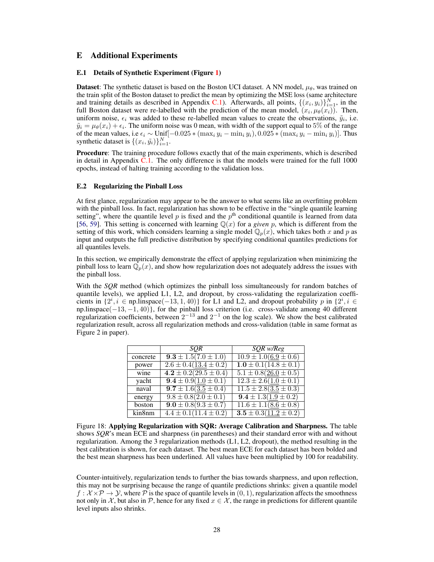### E Additional Experiments

#### E.1 Details of Synthetic Experiment (Figure 1)

**Dataset:** The synthetic dataset is based on the Boston UCI dataset. A NN model,  $\mu_{\theta}$ , was trained on the train split of the Boston dataset to predict the mean by optimizing the MSE loss (same architecture and training details as described in Appendix [C.1\)](#page-5-0). Afterwards, all points,  $\{(x_i, y_i)\}_{i=1}^N$ , in the full Boston dataset were re-labelled with the prediction of the mean model,  $(x_i, \mu_\theta(x_i))$ . Then, uniform noise,  $\epsilon_i$  was added to these re-labelled mean values to create the observations,  $\tilde{y}_i$ , i.e.  $\tilde{y}_i = \mu_\theta(x_i) + \epsilon_i$ . The uniform noise was 0 mean, with width of the support equal to 5% of the range of the mean values, i.e  $\epsilon_i$  ∼ Unif $[-0.025 * (max_i y_i - min_i y_i), 0.025 * (max_i y_i - min_i y_i)].$  Thus synthetic dataset is  $\{(x_i, \tilde{y}_i)\}_{i=1}^N$ .

**Procedure:** The training procedure follows exactly that of the main experiments, which is described in detail in Appendix [C.1.](#page-5-0) The only difference is that the models were trained for the full 1000 epochs, instead of halting training according to the validation loss.

#### E.2 Regularizing the Pinball Loss

At first glance, regularization may appear to be the answer to what seems like an overfitting problem with the pinball loss. In fact, regularization has shown to be effective in the "single quantile learning setting", where the quantile level p is fixed and the  $p<sup>th</sup>$  conditional quantile is learned from data [56, 59]. This setting is concerned with learning  $\mathbb{Q}(x)$  for a *given* p, which is different from the setting of this work, which considers learning a single model  $\mathbb{Q}_n(x)$ , which takes both x and p as input and outputs the full predictive distribution by specifying conditional quantiles predictions for all quantiles levels.

In this section, we empirically demonstrate the effect of applying regularization when minimizing the pinball loss to learn  $\mathbb{Q}_p(x)$ , and show how regularization does not adequately address the issues with the pinball loss.

With the *SQR* method (which optimizes the pinball loss simultaneously for random batches of quantile levels), we applied L1, L2, and dropout, by cross-validating the regularization coefficients in {2 i , i ∈ np.linspace(−13, 1, 40)} for L1 and L2, and dropout probability p in {2 i , i ∈ np.linspace(−13, −1, 40)}, for the pinball loss criterion (i.e. cross-validate among 40 different regularization coefficients, between  $2^{-13}$  and  $2^{-1}$  on the log scale). We show the best calibrated regularization result, across all regularization methods and cross-validation (table in same format as Figure 2 in paper).

|                            | <b>SOR</b>                  | SQR w/Reg                                          |
|----------------------------|-----------------------------|----------------------------------------------------|
| concrete                   | $9.3 \pm 1.5(7.0 \pm 1.0)$  | $\overline{10.9 \pm 1.0(6.9 \pm 0.6)}$             |
| power                      | $2.6 \pm 0.4(13.4 \pm 0.2)$ | $1.0 \pm 0.1(14.8 \pm 0.1)$                        |
| wine                       | $4.2 \pm 0.2(29.5 \pm 0.4)$ | $5.1 \pm 0.8(26.0 \pm 0.5)$                        |
| yacht                      | $9.4 \pm 0.9(1.0 \pm 0.1)$  | $12.3 \pm 2.6(\underline{1.0} \pm 0.1)$            |
| naval                      | $9.7 \pm 1.6(3.5 \pm 0.4)$  | $\overline{11.5 \pm 2.8(\underline{3.5} \pm 0.3)}$ |
| energy                     | $9.8 \pm 0.8(2.0 \pm 0.1)$  | $\overline{9.4 \pm 1.3(\underline{1.9} \pm 0.2)}$  |
| boston                     | $9.0 \pm 0.8 (9.3 \pm 0.7)$ | $\overline{11.6 \pm 1.1(8.6 \pm 0.8)}$             |
| $\overline{\text{kin8nm}}$ | $4.4 \pm 0.1(11.4 \pm 0.2)$ | $3.5 \pm 0.3(11.2 \pm 0.2)$                        |

Figure 18: Applying Regularization with SQR: Average Calibration and Sharpness. The table shows *SQR*'s mean ECE and sharpness (in parentheses) and their standard error with and without regularization. Among the 3 regularization methods (L1, L2, dropout), the method resulting in the best calibration is shown, for each dataset. The best mean ECE for each dataset has been bolded and the best mean sharpness has been underlined. All values have been multiplied by 100 for readability.

Counter-intuitively, regularization tends to further the bias towards sharpness, and upon reflection, this may not be surprising because the range of quantile predictions shrinks: given a quantile model  $f : \mathcal{X} \times \mathcal{P} \to \mathcal{Y}$ , where  $\mathcal{P}$  is the space of quantile levels in  $(0, 1)$ , regularization affects the smoothness not only in X, but also in P, hence for any fixed  $x \in \mathcal{X}$ , the range in predictions for different quantile level inputs also shrinks.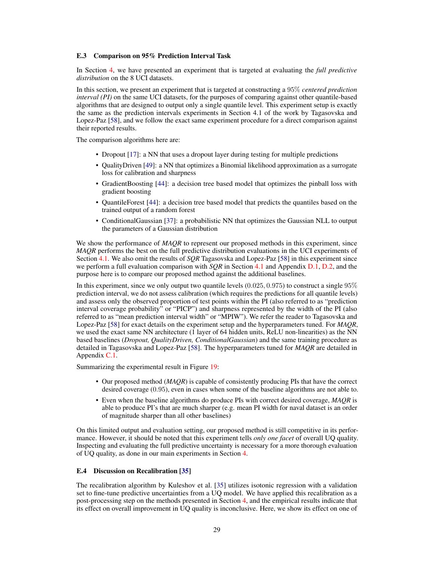#### E.3 Comparison on 95% Prediction Interval Task

In Section 4, we have presented an experiment that is targeted at evaluating the *full predictive distribution* on the 8 UCI datasets.

In this section, we present an experiment that is targeted at constructing a 95% *centered prediction interval (PI)* on the same UCI datasets, for the purposes of comparing against other quantile-based algorithms that are designed to output only a single quantile level. This experiment setup is exactly the same as the prediction intervals experiments in Section 4.1 of the work by Tagasovska and Lopez-Paz [58], and we follow the exact same experiment procedure for a direct comparison against their reported results.

The comparison algorithms here are:

- Dropout [17]: a NN that uses a dropout layer during testing for multiple predictions
- QualityDriven [49]: a NN that optimizes a Binomial likelihood approximation as a surrogate loss for calibration and sharpness
- GradientBoosting [44]: a decision tree based model that optimizes the pinball loss with gradient boosting
- QuantileForest [44]: a decision tree based model that predicts the quantiles based on the trained output of a random forest
- ConditionalGaussian [37]: a probabilistic NN that optimizes the Gaussian NLL to output the parameters of a Gaussian distribution

We show the performance of *MAOR* to represent our proposed methods in this experiment, since *MAQR* performs the best on the full predictive distribution evaluations in the UCI experiments of Section 4.1. We also omit the results of *SQR* Tagasovska and Lopez-Paz [58] in this experiment since we perform a full evaluation comparison with *SQR* in Section 4.1 and Appendix [D.1,](#page-8-0) [D.2,](#page-11-0) and the purpose here is to compare our proposed method against the additional baselines.

In this experiment, since we only output two quantile levels  $(0.025, 0.975)$  to construct a single  $95\%$ prediction interval, we do not assess calibration (which requires the predictions for all quantile levels) and assess only the observed proportion of test points within the PI (also referred to as "prediction interval coverage probability" or "PICP") and sharpness represented by the width of the PI (also referred to as "mean prediction interval width" or "MPIW"). We refer the reader to Tagasovska and Lopez-Paz [58] for exact details on the experiment setup and the hyperparameters tuned. For *MAQR*, we used the exact same NN architecture (1 layer of 64 hidden units, ReLU non-linearities) as the NN based baselines (*Dropout, QualityDriven, ConditionalGaussian*) and the same training procedure as detailed in Tagasovska and Lopez-Paz [58]. The hyperparameters tuned for *MAQR* are detailed in Appendix [C.1.](#page-5-0)

Summarizing the experimental result in Figure [19:](#page-15-0)

- Our proposed method (*MAQR*) is capable of consistently producing PIs that have the correct desired coverage (0.95), even in cases when some of the baseline algorithms are not able to.
- Even when the baseline algorithms do produce PIs with correct desired coverage, *MAQR* is able to produce PI's that are much sharper (e.g. mean PI width for naval dataset is an order of magnitude sharper than all other baselines)

On this limited output and evaluation setting, our proposed method is still competitive in its performance. However, it should be noted that this experiment tells *only one facet* of overall UQ quality. Inspecting and evaluating the full predictive uncertainty is necessary for a more thorough evaluation of UQ quality, as done in our main experiments in Section 4.

### E.4 Discussion on Recalibration [35]

The recalibration algorithm by Kuleshov et al. [35] utilizes isotonic regression with a validation set to fine-tune predictive uncertainties from a UQ model. We have applied this recalibration as a post-processing step on the methods presented in Section 4, and the empirical results indicate that its effect on overall improvement in UQ quality is inconclusive. Here, we show its effect on one of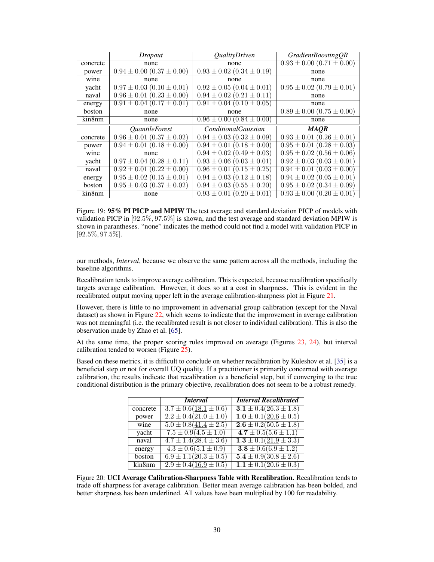|          | Dropout                           | <i>QualityDriven</i>              | GradientBoostingQR                |
|----------|-----------------------------------|-----------------------------------|-----------------------------------|
| concrete | none                              | none                              | $0.93 \pm 0.00$ $(0.71 \pm 0.00)$ |
| power    | $0.94 \pm 0.00$ $(0.37 \pm 0.00)$ | $0.93 \pm 0.02$ $(0.34 \pm 0.19)$ | none                              |
| wine     | none                              | none                              | none                              |
| yacht    | $0.97 \pm 0.03$ (0.10 $\pm$ 0.01) | $0.92 \pm 0.05$ (0.04 $\pm$ 0.01) | $0.95 \pm 0.02$ $(0.79 \pm 0.01)$ |
| naval    | $0.96 \pm 0.01$ $(0.23 \pm 0.00)$ | $0.94 \pm 0.02$ $(0.21 \pm 0.11)$ | none                              |
| energy   | $0.91 \pm 0.04$ $(0.17 \pm 0.01)$ | $0.91 \pm 0.04$ $(0.10 \pm 0.05)$ | none                              |
| boston   | none                              | none                              | $0.89 \pm 0.00$ $(0.75 \pm 0.00)$ |
| kin8nm   | none                              | $0.96 \pm 0.00$ $(0.84 \pm 0.00)$ | none                              |
|          |                                   |                                   |                                   |
|          | <i><b>OuantileForest</b></i>      | <i>ConditionalGaussian</i>        | <b>MAOR</b>                       |
| concrete | $0.96 \pm 0.01$ $(0.37 \pm 0.02)$ | $0.94 \pm 0.03$ $(0.32 \pm 0.09)$ | $0.93 \pm 0.01$ $(0.26 \pm 0.01)$ |
| power    | $0.94 \pm 0.01$ $(0.18 \pm 0.00)$ | $0.94 \pm 0.01 (0.18 \pm 0.00)$   | $0.95 \pm 0.01$ $(0.28 \pm 0.03)$ |
| wine     | none                              | $0.94 \pm 0.02$ (0.49 $\pm$ 0.03) | $0.95 \pm 0.02$ $(0.56 \pm 0.06)$ |
| yacht    | $0.97 \pm 0.04$ $(0.28 \pm 0.11)$ | $0.93 \pm 0.06$ $(0.03 \pm 0.01)$ | $0.92 \pm 0.03$ $(0.03 \pm 0.01)$ |
| naval    | $0.92 \pm 0.01$ $(0.22 \pm 0.00)$ | $0.96 \pm 0.01$ $(0.15 \pm 0.25)$ | $0.94 \pm 0.01$ $(0.03 \pm 0.00)$ |
| energy   | $0.95 \pm 0.02$ $(0.15 \pm 0.01)$ | $0.94 \pm 0.03$ $(0.12 \pm 0.18)$ | $0.94 \pm 0.02$ $(0.05 \pm 0.01)$ |
| boston   | $0.95 \pm 0.03$ $(0.37 \pm 0.02)$ | $0.94 \pm 0.03$ $(0.55 \pm 0.20)$ | $0.95 \pm 0.02$ $(0.34 \pm 0.09)$ |

<span id="page-15-0"></span>Figure 19: 95% PI PICP and MPIW The test average and standard deviation PICP of models with validation PICP in  $[92.5\%, 97.5\%]$  is shown, and the test average and standard deviation MPIW is shown in parantheses. "none" indicates the method could not find a model with validation PICP in [92.5%, 97.5%].

our methods, *Interval*, because we observe the same pattern across all the methods, including the baseline algorithms.

Recalibration tends to improve average calibration. This is expected, because recalibration specifically targets average calibration. However, it does so at a cost in sharpness. This is evident in the recalibrated output moving upper left in the average calibration-sharpness plot in Figure [21.](#page-16-0)

However, there is little to no improvement in adversarial group calibration (except for the Naval dataset) as shown in Figure [22,](#page-16-1) which seems to indicate that the improvement in average calibration was not meaningful (i.e. the recalibrated result is not closer to individual calibration). This is also the observation made by Zhao et al. [65].

At the same time, the proper scoring rules improved on average (Figures [23,](#page-16-2) [24\)](#page-17-0), but interval calibration tended to worsen (Figure [25\)](#page-17-1).

Based on these metrics, it is difficult to conclude on whether recalibration by Kuleshov et al. [35] is a beneficial step or not for overall UQ quality. If a practitioner is primarily concerned with average calibration, the results indicate that recalibration *is* a beneficial step, but if converging to the true conditional distribution is the primary objective, recalibration does not seem to be a robust remedy.

|          | <i>Interval</i>              | <b>Interval Recalibrated</b> |
|----------|------------------------------|------------------------------|
| concrete | $3.7 \pm 0.6 (18.1 \pm 0.6)$ | $3.1 \pm 0.4(26.3 \pm 1.8)$  |
| power    | $2.2 \pm 0.4(21.0 \pm 1.0)$  | $1.0 \pm 0.1(20.6 \pm 0.5)$  |
| wine     | $5.0 \pm 0.8(41.4 \pm 2.5)$  | $2.6 \pm 0.2(50.5 \pm 1.8)$  |
| yacht    | $7.5 \pm 0.9(4.5 \pm 1.0)$   | $4.7 \pm 0.5(5.6 \pm 1.1)$   |
| naval    | $4.7 \pm 1.4(28.4 \pm 3.6)$  | $1.3 \pm 0.1(21.9 \pm 3.3)$  |
| energy   | $4.3 \pm 0.6(5.1 \pm 0.9)$   | $3.8 \pm 0.6(6.9 \pm 1.2)$   |
| boston   | $6.9 \pm 1.1(20.3 \pm 0.5)$  | $5.4 \pm 0.9(30.8 \pm 2.6)$  |
| kin8nm   | $2.9 \pm 0.4(16.9 \pm 0.5)$  | $1.1 \pm 0.1(20.6 \pm 0.3)$  |

Figure 20: UCI Average Calibration-Sharpness Table with Recalibration. Recalibration tends to trade off sharpness for average calibration. Better mean average calibration has been bolded, and better sharpness has been underlined. All values have been multiplied by 100 for readability.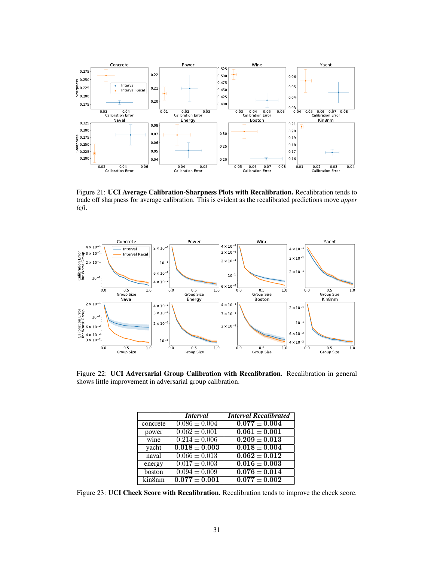

<span id="page-16-0"></span>Figure 21: UCI Average Calibration-Sharpness Plots with Recalibration. Recalibration tends to trade off sharpness for average calibration. This is evident as the recalibrated predictions move *upper left*.



Figure 22: UCI Adversarial Group Calibration with Recalibration. Recalibration in general shows little improvement in adversarial group calibration.

<span id="page-16-2"></span><span id="page-16-1"></span>

|                           | <i>Interval</i>              | <b>Interval Recalibrated</b> |
|---------------------------|------------------------------|------------------------------|
| concrete                  | $0.086 \pm 0.004$            | $0.077 \pm 0.004$            |
| power                     | $\overline{0.062 \pm 0.001}$ | $0.061 \pm 0.001$            |
| wine                      | $0.214 \pm 0.006$            | $\overline{0.209\pm0.013}$   |
| yacht                     | $0.018 \pm 0.003$            | $0.018 \pm 0.004$            |
| $\overline{\text{naval}}$ | $0.066 \pm 0.013$            | $0.062 + 0.012$              |
| energy                    | $0.017 \pm 0.003$            | $0.016 \pm 0.003$            |
| boston                    | $0.094 \pm 0.009$            | $0.076 \pm 0.014$            |
| kin8nm                    | $\overline{0.077\pm0.001}$   | $\overline{0.077\pm0.002}$   |

Figure 23: UCI Check Score with Recalibration. Recalibration tends to improve the check score.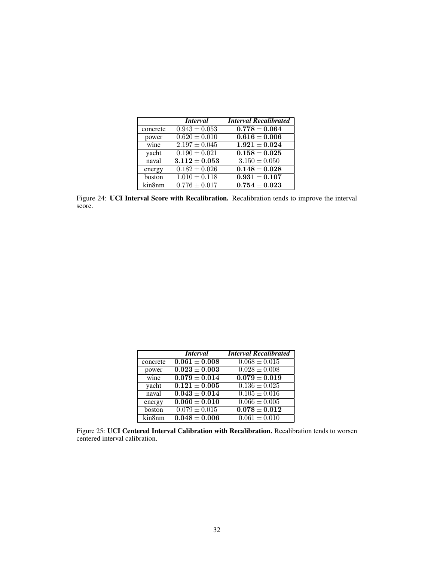<span id="page-17-0"></span>

|          | <i>Interval</i>              | <b>Interval Recalibrated</b> |
|----------|------------------------------|------------------------------|
| concrete | $0.943 \pm 0.053$            | $0.778 \pm 0.064$            |
| power    | $\overline{0.620 \pm 0.010}$ | $0.616 \pm 0.006$            |
| wine     | $2.197 \pm 0.045$            | $1.921 \pm 0.024$            |
| yacht    | $0.190 \pm 0.021$            | $0.158 \pm 0.025$            |
| naval    | $3.112 \pm 0.053$            | $3.150 \pm 0.050$            |
| energy   | $0.182 \pm 0.026$            | $0.148 \pm 0.028$            |
| boston   | $\overline{1.010} \pm 0.118$ | $0.931 \pm 0.107$            |
| kin8nm   | $0.776 \pm 0.017$            | $\overline{0.754\pm0.023}$   |

Figure 24: UCI Interval Score with Recalibration. Recalibration tends to improve the interval score.

<span id="page-17-1"></span>

|          | <i>Interval</i>            | <b>Interval Recalibrated</b> |
|----------|----------------------------|------------------------------|
| concrete | $0.061 \pm 0.008$          | $0.068 \pm 0.015$            |
| power    | $0.023 \pm 0.003$          | $0.028 \pm 0.008$            |
| wine     | $0.079 \pm 0.014$          | $0.079 \pm 0.019$            |
| yacht    | $\overline{0.121\pm0.005}$ | $0.136 \pm 0.025$            |
| naval    | $0.043 + 0.014$            | $0.105 \pm 0.016$            |
| energy   | $0.060 \pm 0.010$          | $0.066 \pm 0.005$            |
| boston   | $0.079 \pm 0.015$          | $0.078 \pm 0.012$            |
| kin8nm   | $0.048 \pm 0.006$          | $0.061 \pm 0.010$            |

Figure 25: UCI Centered Interval Calibration with Recalibration. Recalibration tends to worsen centered interval calibration.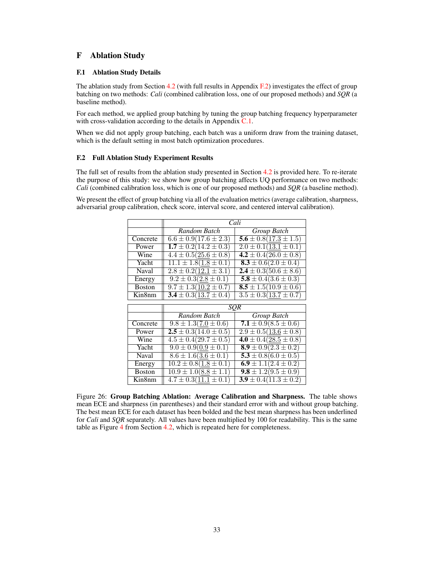# F Ablation Study

### F.1 Ablation Study Details

The ablation study from Section 4.2 (with full results in Appendix  $F(2)$ ) investigates the effect of group batching on two methods: *Cali* (combined calibration loss, one of our proposed methods) and *SQR* (a baseline method).

For each method, we applied group batching by tuning the group batching frequency hyperparameter with cross-validation according to the details in Appendix [C.1.](#page-5-0)

When we did not apply group batching, each batch was a uniform draw from the training dataset, which is the default setting in most batch optimization procedures.

### <span id="page-18-0"></span>F.2 Full Ablation Study Experiment Results

The full set of results from the ablation study presented in Section 4.2 is provided here. To re-iterate the purpose of this study: we show how group batching affects UQ performance on two methods: *Cali* (combined calibration loss, which is one of our proposed methods) and *SQR* (a baseline method).

We present the effect of group batching via all of the evaluation metrics (average calibration, sharpness, adversarial group calibration, check score, interval score, and centered interval calibration).

|               | Cali                                                       |                                        |  |  |
|---------------|------------------------------------------------------------|----------------------------------------|--|--|
|               | Random Batch                                               | Group Batch                            |  |  |
| Concrete      | $6.6 \pm 0.9(17.6 \pm 2.3)$                                | $5.6 \pm 0.8(17.3 \pm 1.5)$            |  |  |
| Power         | $2.0 \pm 0.1(13.1 \pm 0.1)$<br>$1.7 \pm 0.2(14.2 \pm 0.3)$ |                                        |  |  |
| Wine          | 4.2 ± $0.4(26.0 \pm 0.8)$<br>$4.4 \pm 0.5(25.6 \pm 0.8)$   |                                        |  |  |
| Yacht         | $11.1 \pm 1.8(1.8 \pm 0.1)$<br>$8.3 \pm 0.6(2.0 \pm 0.4)$  |                                        |  |  |
| Naval         | $2.4 \pm 0.3(50.6 \pm 8.6)$<br>$2.8 \pm 0.2(12.1 \pm 3.1)$ |                                        |  |  |
| Energy        | $9.2 \pm 0.3(2.8 \pm 0.1)$                                 | $\overline{5.8 \pm 0.4 (3.6 \pm 0.3)}$ |  |  |
| <b>Boston</b> | $9.7 \pm 1.3(10.2 \pm 0.7)$                                | $8.5 \pm 1.5(10.9 \pm 0.6)$            |  |  |
| Kin8nm        | $3.4 \pm 0.3(13.7 \pm 0.4)$                                | $3.5 \pm 0.3(13.7 \pm 0.7)$            |  |  |
|               |                                                            |                                        |  |  |
|               |                                                            |                                        |  |  |
|               | SQR                                                        |                                        |  |  |
|               | Random Batch                                               | Group Batch                            |  |  |
| Concrete      | $9.8 \pm 1.3(7.0 \pm 0.6)$                                 | 7.1 ± $0.9(8.5 \pm 0.6)$               |  |  |
| Power         | $2.5 \pm 0.3(14.0 \pm 0.5)$                                | $2.9 \pm 0.5(13.6 \pm 0.8)$            |  |  |
| Wine          | $4.5 \pm 0.4(29.7 \pm 0.5)$                                | $4.0 \pm 0.4(28.5 \pm 0.8)$            |  |  |
| Yacht         | $9.0 \pm 0.9(0.9 \pm 0.1)$                                 | $8.9 \pm 0.9(2.3 \pm 0.2)$             |  |  |
| Naval         | $8.6 \pm 1.6(3.6 \pm 0.1)$                                 | $5.3 \pm 0.8(6.0 \pm 0.5)$             |  |  |
| Energy        | $10.2 \pm 0.8(1.8 \pm 0.1)$                                | $6.9 \pm 1.1(2.4 \pm 0.2)$             |  |  |
| <b>Boston</b> | $10.9 \pm 1.0(8.8 \pm 1.1)$                                | $9.8 \pm 1.2(9.5 \pm 0.9)$             |  |  |

Figure 26: Group Batching Ablation: Average Calibration and Sharpness. The table shows mean ECE and sharpness (in parentheses) and their standard error with and without group batching. The best mean ECE for each dataset has been bolded and the best mean sharpness has been underlined for *Cali* and *SQR* separately. All values have been multiplied by 100 for readability. This is the same table as Figure 4 from Section 4.2, which is repeated here for completeness.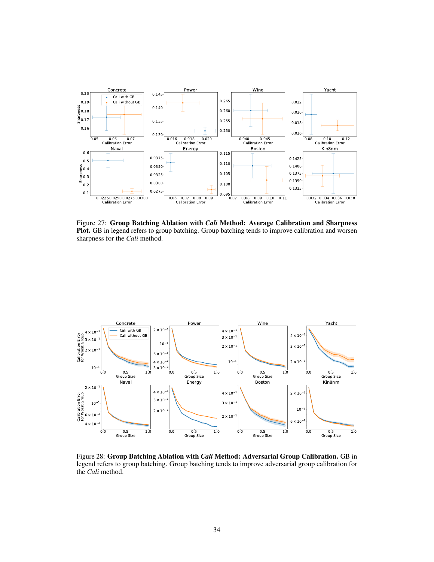

Figure 27: Group Batching Ablation with *Cali* Method: Average Calibration and Sharpness Plot. GB in legend refers to group batching. Group batching tends to improve calibration and worsen sharpness for the *Cali* method.



Figure 28: Group Batching Ablation with *Cali* Method: Adversarial Group Calibration. GB in legend refers to group batching. Group batching tends to improve adversarial group calibration for the *Cali* method.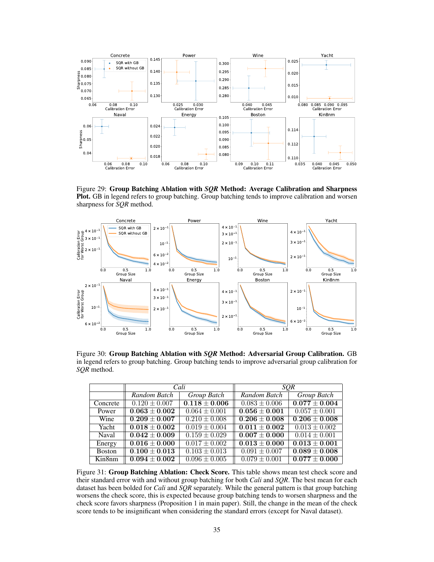

Figure 29: Group Batching Ablation with *SQR* Method: Average Calibration and Sharpness Plot. GB in legend refers to group batching. Group batching tends to improve calibration and worsen sharpness for *SQR* method.



Figure 30: Group Batching Ablation with *SQR* Method: Adversarial Group Calibration. GB in legend refers to group batching. Group batching tends to improve adversarial group calibration for *SQR* method.

|               | Cali                       |                   | <b>SOR</b>                   |                              |
|---------------|----------------------------|-------------------|------------------------------|------------------------------|
|               | Random Batch               | Group Batch       | Random Batch                 | Group Batch                  |
| Concrete      | $0.120 \pm 0.007$          | $0.118 \pm 0.006$ | $0.083 \pm 0.006$            | $\overline{0.077\pm0.004}$   |
| Power         | $0.063 \pm 0.002$          | $0.064 \pm 0.001$ | $0.056 \pm 0.001$            | $0.057 \pm 0.001$            |
| Wine          | $0.209 + 0.007$            | $0.210 \pm 0.008$ | $0.206 \pm 0.008$            | $0.206 \pm 0.008$            |
| Yacht         | $0.018 + 0.002$            | $0.019 \pm 0.004$ | $0.011 \pm 0.002$            | $\overline{0.013} \pm 0.002$ |
| Naval         | $\overline{0.042\pm0.009}$ | $0.159 \pm 0.029$ | $0.007 \pm 0.000$            | $\overline{0.014} \pm 0.001$ |
| Energy        | $0.016 \pm 0.000$          | $0.017 \pm 0.002$ | $\overline{0.013} \pm 0.000$ | $0.013 \pm 0.001$            |
| <b>Boston</b> | $0.100 \pm 0.013$          | $0.103 \pm 0.013$ | $0.091 \pm 0.007$            | $0.089 \pm 0.008$            |
| Kin8nm        | $0.094 + 0.002$            | $0.096 \pm 0.005$ | $0.079 \pm 0.001$            | $0.077 \pm 0.000$            |

Figure 31: Group Batching Ablation: Check Score. This table shows mean test check score and their standard error with and without group batching for both *Cali* and *SQR*. The best mean for each dataset has been bolded for *Cali* and *SQR* separately. While the general pattern is that group batching worsens the check score, this is expected because group batching tends to worsen sharpness and the check score favors sharpness (Proposition 1 in main paper). Still, the change in the mean of the check score tends to be insignificant when considering the standard errors (except for Naval dataset).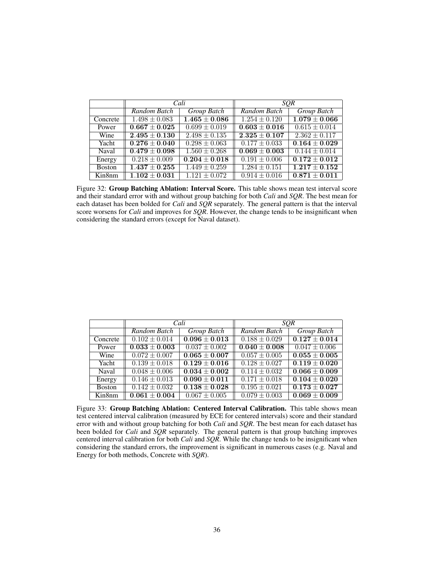|               | Cali                        |                   | <b>SOR</b>                 |                              |
|---------------|-----------------------------|-------------------|----------------------------|------------------------------|
|               | Random Batch                | Group Batch       | Random Batch               | Group Batch                  |
| Concrete      | $1.498 \pm 0.083$           | $1.465 \pm 0.086$ | $1.254 + 0.120$            | $1.079 + 0.066$              |
| Power         | $\overline{0.667\pm 0.025}$ | $0.699 \pm 0.019$ | $\overline{0.603\pm0.016}$ | $\overline{0.615 \pm 0.014}$ |
| Wine          | $2.495 + 0.130$             | $2.498 \pm 0.135$ | $2.325 + 0.107$            | $2.362 + 0.117$              |
| Yacht         | $0.276 \pm 0.040$           | $0.298 \pm 0.063$ | $0.177 \pm 0.033$          | $0.164 \pm 0.029$            |
| Naval         | $0.479 \pm 0.098$           | $1.560 \pm 0.268$ | $0.069 \pm 0.003$          | $0.144 \pm 0.014$            |
| Energy        | $0.218 \pm 0.009$           | $0.204 \pm 0.018$ | $0.191 \pm 0.006$          | $0.172 \pm 0.012$            |
| <b>Boston</b> | $1.437 + 0.255$             | $1.449 \pm 0.259$ | $1.284 \pm 0.151$          | $\overline{1.217 + 0.152}$   |
| Kin8nm        | $1.102 + 0.031$             | $1.121 \pm 0.072$ | $0.914 \pm 0.016$          | $0.871 + 0.011$              |

Figure 32: Group Batching Ablation: Interval Score. This table shows mean test interval score and their standard error with and without group batching for both *Cali* and *SQR*. The best mean for each dataset has been bolded for *Cali* and *SQR* separately. The general pattern is that the interval score worsens for *Cali* and improves for *SQR*. However, the change tends to be insignificant when considering the standard errors (except for Naval dataset).

|               | Cali                         |                              | SQR                          |                              |
|---------------|------------------------------|------------------------------|------------------------------|------------------------------|
|               | Random Batch                 | Group Batch                  | Random Batch                 | Group Batch                  |
| Concrete      | $0.102 \pm 0.014$            | $0.096 \pm 0.013$            | $0.188 \pm 0.029$            | $\overline{0.127 \pm 0.014}$ |
| Power         | $0.033 \pm 0.003$            | $0.037 \pm 0.002$            | $0.040 \pm 0.008$            | $0.047 \pm 0.006$            |
| Wine          | $0.072 \pm 0.007$            | $0.065 \pm 0.007$            | $0.057 \pm 0.005$            | $0.055 \pm 0.005$            |
| Yacht         | $0.139 \pm 0.018$            | $0.129 + 0.016$              | $0.128 + 0.027$              | $0.119 + 0.020$              |
| Naval         | $0.048 \pm 0.006$            | $0.034 + 0.002$              | $\overline{0.114} \pm 0.032$ | $0.066 \pm 0.009$            |
| Energy        | $0.146 \pm 0.013$            | $\overline{0.090} \pm 0.011$ | $0.171 \pm 0.018$            | $0.104 \pm 0.020$            |
| <b>Boston</b> | $\overline{0.142 \pm 0.032}$ | $\overline{0.138\pm0.028}$   | $\overline{0.195 \pm 0.021}$ | $0.173 + 0.027$              |
| Kin8nm        | $0.061 + 0.004$              | $0.067 \pm 0.005$            | $0.079 \pm 0.003$            | $\overline{0.069} \pm 0.009$ |

Figure 33: Group Batching Ablation: Centered Interval Calibration. This table shows mean test centered interval calibration (measured by ECE for centered intervals) score and their standard error with and without group batching for both *Cali* and *SQR*. The best mean for each dataset has been bolded for *Cali* and *SQR* separately. The general pattern is that group batching improves centered interval calibration for both *Cali* and *SQR*. While the change tends to be insignificant when considering the standard errors, the improvement is significant in numerous cases (e.g. Naval and Energy for both methods, Concrete with *SQR*).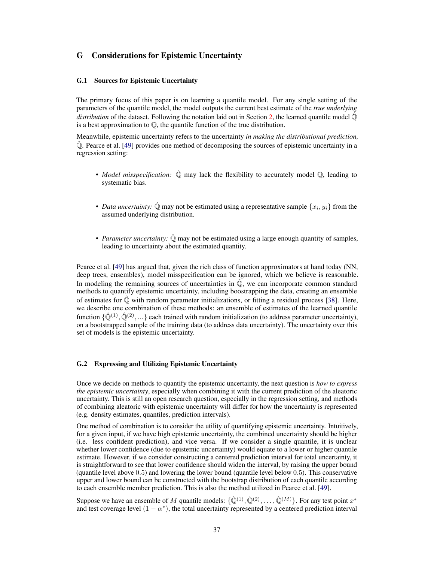# G Considerations for Epistemic Uncertainty

#### G.1 Sources for Epistemic Uncertainty

The primary focus of this paper is on learning a quantile model. For any single setting of the parameters of the quantile model, the model outputs the current best estimate of the *true underlying distribution* of the dataset. Following the notation laid out in Section 2, the learned quantile model  $\hat{\mathbb{Q}}$ is a best approximation to Q, the quantile function of the true distribution.

Meanwhile, epistemic uncertainty refers to the uncertainty *in making the distributional prediction,*  $\hat{Q}$ . Pearce et al. [49] provides one method of decomposing the sources of epistemic uncertainty in a regression setting:

- *Model misspecification:*  $\hat{\mathbb{Q}}$  may lack the flexibility to accurately model  $\mathbb{Q}$ , leading to systematic bias.
- *Data uncertainty:*  $\hat{\mathbb{Q}}$  may not be estimated using a representative sample  $\{x_i, y_i\}$  from the assumed underlying distribution.
- *Parameter uncertainty:*  $\dot{Q}$  may not be estimated using a large enough quantity of samples, leading to uncertainty about the estimated quantity.

Pearce et al. [49] has argued that, given the rich class of function approximators at hand today (NN, deep trees, ensembles), model misspecification can be ignored, which we believe is reasonable. In modeling the remaining sources of uncertainties in  $\hat{\mathbb{Q}}$ , we can incorporate common standard methods to quantify epistemic uncertainty, including boostrapping the data, creating an ensemble of estimates for  $\hat{\mathbb{Q}}$  with random parameter initializations, or fitting a residual process [38]. Here, we describe one combination of these methods: an ensemble of estimates of the learned quantile function  $\{\hat{\mathbb{Q}}^{(1)}, \hat{\mathbb{Q}}^{(2)}, ...\}$  each trained with random initialization (to address parameter uncertainty), on a bootstrapped sample of the training data (to address data uncertainty). The uncertainty over this set of models is the epistemic uncertainty.

#### <span id="page-22-0"></span>G.2 Expressing and Utilizing Epistemic Uncertainty

Once we decide on methods to quantify the epistemic uncertainty, the next question is *how to express the epistemic uncertainty*, especially when combining it with the current prediction of the aleatoric uncertainty. This is still an open research question, especially in the regression setting, and methods of combining aleatoric with epistemic uncertainty will differ for how the uncertainty is represented (e.g. density estimates, quantiles, prediction intervals).

One method of combination is to consider the utility of quantifying epistemic uncertainty. Intuitively, for a given input, if we have high epistemic uncertainty, the combined uncertainty should be higher (i.e. less confident prediction), and vice versa. If we consider a single quantile, it is unclear whether lower confidence (due to epistemic uncertainty) would equate to a lower or higher quantile estimate. However, if we consider constructing a centered prediction interval for total uncertainty, it is straightforward to see that lower confidence should widen the interval, by raising the upper bound (quantile level above 0.5) and lowering the lower bound (quantile level below 0.5). This conservative upper and lower bound can be constructed with the bootstrap distribution of each quantile according to each ensemble member prediction. This is also the method utilized in Pearce et al. [49].

Suppose we have an ensemble of M quantile models:  $\{\hat{\mathbb{Q}}^{(1)}, \hat{\mathbb{Q}}^{(2)}, \dots, \hat{\mathbb{Q}}^{(M)}\}$ . For any test point  $x^*$ and test coverage level  $(1 - \alpha^*)$ , the total uncertainty represented by a centered prediction interval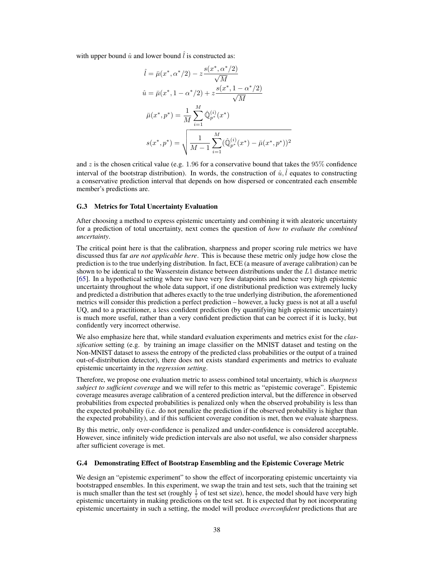with upper bound  $\hat{u}$  and lower bound  $\hat{l}$  is constructed as:

$$
\hat{l} = \bar{\mu}(x^*, \alpha^*/2) - z \frac{s(x^*, \alpha^*/2)}{\sqrt{M}}
$$
\n
$$
\hat{u} = \bar{\mu}(x^*, 1 - \alpha^*/2) + z \frac{s(x^*, 1 - \alpha^*/2)}{\sqrt{M}}
$$
\n
$$
\bar{\mu}(x^*, p^*) = \frac{1}{M} \sum_{i=1}^{M} \hat{\mathbb{Q}}_{p^*}^{(i)}(x^*)
$$
\n
$$
s(x^*, p^*) = \sqrt{\frac{1}{M-1} \sum_{i=1}^{M} (\hat{\mathbb{Q}}_{p^*}^{(i)}(x^*) - \bar{\mu}(x^*, p^*))^2}
$$

and  $z$  is the chosen critical value (e.g. 1.96 for a conservative bound that takes the 95% confidence interval of the bootstrap distribution). In words, the construction of  $\hat{u}$ ,  $\hat{l}$  equates to constructing a conservative prediction interval that depends on how dispersed or concentrated each ensemble member's predictions are.

### <span id="page-23-0"></span>G.3 Metrics for Total Uncertainty Evaluation

After choosing a method to express epistemic uncertainty and combining it with aleatoric uncertainty for a prediction of total uncertainty, next comes the question of *how to evaluate the combined uncertainty*.

The critical point here is that the calibration, sharpness and proper scoring rule metrics we have discussed thus far *are not applicable here*. This is because these metric only judge how close the prediction is to the true underlying distribution. In fact, ECE (a measure of average calibration) can be shown to be identical to the Wasserstein distance between distributions under the L1 distance metric [65]. In a hypothetical setting where we have very few datapoints and hence very high epistemic uncertainty throughout the whole data support, if one distributional prediction was extremely lucky and predicted a distribution that adheres exactly to the true underlying distribution, the aforementioned metrics will consider this prediction a perfect prediction – however, a lucky guess is not at all a useful UQ, and to a practitioner, a less confident prediction (by quantifying high epistemic uncertainty) is much more useful, rather than a very confident prediction that can be correct if it is lucky, but confidently very incorrect otherwise.

We also emphasize here that, while standard evaluation experiments and metrics exist for the *classification* setting (e.g. by training an image classifier on the MNIST dataset and testing on the Non-MNIST dataset to assess the entropy of the predicted class probabilities or the output of a trained out-of-distribution detector), there does not exists standard experiments and metrics to evaluate epistemic uncertainty in the *regression setting*.

Therefore, we propose one evaluation metric to assess combined total uncertainty, which is *sharpness subject to sufficient coverage* and we will refer to this metric as "epistemic coverage". Epistemic coverage measures average calibration of a centered prediction interval, but the difference in observed probabilities from expected probabilities is penalized only when the observed probability is less than the expected probability (i.e. do not penalize the prediction if the observed probability is higher than the expected probability), and if this sufficient coverage condition is met, then we evaluate sharpness.

By this metric, only over-confidence is penalized and under-confidence is considered acceptable. However, since infinitely wide prediction intervals are also not useful, we also consider sharpness after sufficient coverage is met.

#### G.4 Demonstrating Effect of Bootstrap Ensembling and the Epistemic Coverage Metric

We design an "epistemic experiment" to show the effect of incorporating epistemic uncertainty via bootstrapped ensembles. In this experiment, we swap the train and test sets, such that the training set is much smaller than the test set (roughly  $\frac{1}{7}$  of test set size), hence, the model should have very high epistemic uncertainty in making predictions on the test set. It is expected that by not incorporating epistemic uncertainty in such a setting, the model will produce *overconfident* predictions that are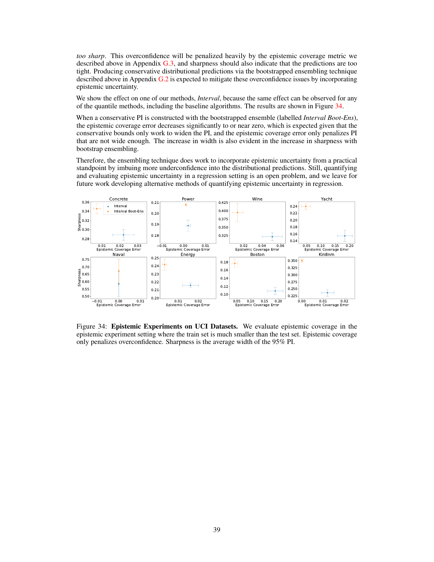*too sharp*. This overconfidence will be penalized heavily by the epistemic coverage metric we described above in Appendix [G.3,](#page-23-0) and sharpness should also indicate that the predictions are too tight. Producing conservative distributional predictions via the bootstrapped ensembling technique described above in Appendix  $G<sub>2</sub>$  is expected to mitigate these overconfidence issues by incorporating epistemic uncertainty.

We show the effect on one of our methods, *Interval*, because the same effect can be observed for any of the quantile methods, including the baseline algorithms. The results are shown in Figure [34.](#page-24-0)

When a conservative PI is constructed with the bootstrapped ensemble (labelled *Interval Boot-Ens*), the epistemic coverage error decreases significantly to or near zero, which is expected given that the conservative bounds only work to widen the PI, and the epistemic coverage error only penalizes PI that are not wide enough. The increase in width is also evident in the increase in sharpness with bootstrap ensembling.

Therefore, the ensembling technique does work to incorporate epistemic uncertainty from a practical standpoint by imbuing more underconfidence into the distributional predictions. Still, quantifying and evaluating epistemic uncertainty in a regression setting is an open problem, and we leave for future work developing alternative methods of quantifying epistemic uncertainty in regression.



<span id="page-24-0"></span>Figure 34: Epistemic Experiments on UCI Datasets. We evaluate epistemic coverage in the epistemic experiment setting where the train set is much smaller than the test set. Epistemic coverage only penalizes overconfidence. Sharpness is the average width of the 95% PI.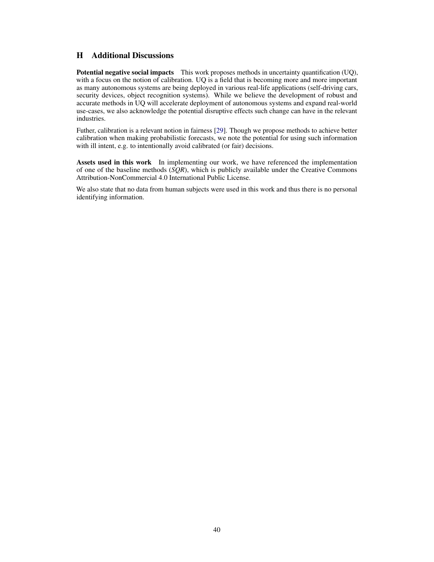# H Additional Discussions

Potential negative social impacts This work proposes methods in uncertainty quantification (UQ), with a focus on the notion of calibration. UQ is a field that is becoming more and more important as many autonomous systems are being deployed in various real-life applications (self-driving cars, security devices, object recognition systems). While we believe the development of robust and accurate methods in UQ will accelerate deployment of autonomous systems and expand real-world use-cases, we also acknowledge the potential disruptive effects such change can have in the relevant industries.

Futher, calibration is a relevant notion in fairness [29]. Though we propose methods to achieve better calibration when making probabilistic forecasts, we note the potential for using such information with ill intent, e.g. to intentionally avoid calibrated (or fair) decisions.

Assets used in this work In implementing our work, we have referenced the implementation of one of the baseline methods (*SQR*), which is publicly available under the Creative Commons Attribution-NonCommercial 4.0 International Public License.

We also state that no data from human subjects were used in this work and thus there is no personal identifying information.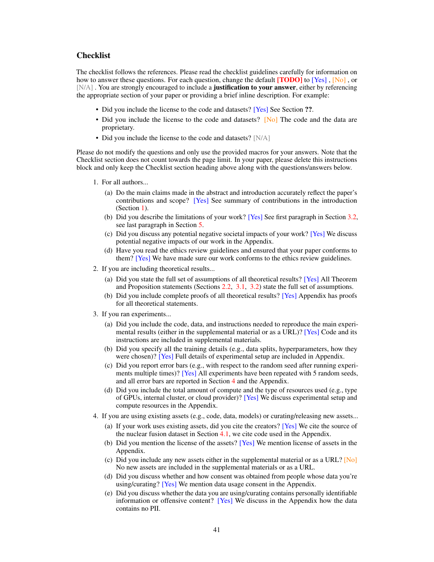# **Checklist**

The checklist follows the references. Please read the checklist guidelines carefully for information on how to answer these questions. For each question, change the default **[TODO]** to [Yes], [No], or [N/A]. You are strongly encouraged to include a **justification to your answer**, either by referencing the appropriate section of your paper or providing a brief inline description. For example:

- Did you include the license to the code and datasets? [Yes] See Section ??.
- Did you include the license to the code and datasets? [No] The code and the data are proprietary.
- Did you include the license to the code and datasets? [N/A]

Please do not modify the questions and only use the provided macros for your answers. Note that the Checklist section does not count towards the page limit. In your paper, please delete this instructions block and only keep the Checklist section heading above along with the questions/answers below.

- 1. For all authors...
	- (a) Do the main claims made in the abstract and introduction accurately reflect the paper's contributions and scope? [Yes] See summary of contributions in the introduction (Section 1).
	- (b) Did you describe the limitations of your work? [Yes] See first paragraph in Section 3.2, see last paragraph in Section 5.
	- (c) Did you discuss any potential negative societal impacts of your work? [Yes] We discuss potential negative impacts of our work in the Appendix.
	- (d) Have you read the ethics review guidelines and ensured that your paper conforms to them? [Yes] We have made sure our work conforms to the ethics review guidelines.
- 2. If you are including theoretical results...
	- (a) Did you state the full set of assumptions of all theoretical results? [Yes] All Theorem and Proposition statements (Sections 2.2, 3.1, 3.2) state the full set of assumptions.
	- (b) Did you include complete proofs of all theoretical results? [Yes] Appendix has proofs for all theoretical statements.
- 3. If you ran experiments...
	- (a) Did you include the code, data, and instructions needed to reproduce the main experimental results (either in the supplemental material or as a URL)? [Yes] Code and its instructions are included in supplemental materials.
	- (b) Did you specify all the training details (e.g., data splits, hyperparameters, how they were chosen)? [Yes] Full details of experimental setup are included in Appendix.
	- (c) Did you report error bars (e.g., with respect to the random seed after running experiments multiple times)? [Yes] All experiments have been repeated with 5 random seeds, and all error bars are reported in Section 4 and the Appendix.
	- (d) Did you include the total amount of compute and the type of resources used (e.g., type of GPUs, internal cluster, or cloud provider)? [Yes] We discuss experimental setup and compute resources in the Appendix.
- 4. If you are using existing assets (e.g., code, data, models) or curating/releasing new assets...
	- (a) If your work uses existing assets, did you cite the creators? [Yes] We cite the source of the nuclear fusion dataset in Section 4.1, we cite code used in the Appendix.
	- (b) Did you mention the license of the assets? [Yes] We mention license of assets in the Appendix.
	- (c) Did you include any new assets either in the supplemental material or as a URL? [No] No new assets are included in the supplemental materials or as a URL.
	- (d) Did you discuss whether and how consent was obtained from people whose data you're using/curating? [Yes] We mention data usage consent in the Appendix.
	- (e) Did you discuss whether the data you are using/curating contains personally identifiable information or offensive content? [Yes] We discuss in the Appendix how the data contains no PII.